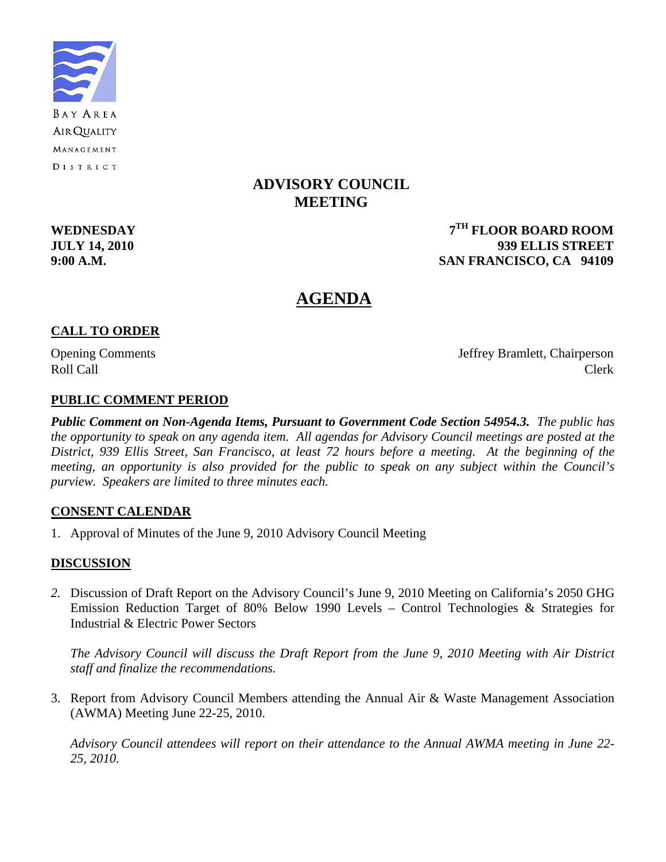

## **ADVISORY COUNCIL MEETING**

**WEDNESDAY 7TH FLOOR BOARD ROOM JULY 14, 2010 939 ELLIS STREET 9:00 A.M. SAN FRANCISCO, CA 94109** 

# **AGENDA**

#### **CALL TO ORDER**

Opening Comments Jeffrey Bramlett, Chairperson Roll Call Call Contract Clerk

#### **PUBLIC COMMENT PERIOD**

*Public Comment on Non-Agenda Items, Pursuant to Government Code Section 54954.3. The public has the opportunity to speak on any agenda item. All agendas for Advisory Council meetings are posted at the District, 939 Ellis Street, San Francisco, at least 72 hours before a meeting. At the beginning of the meeting, an opportunity is also provided for the public to speak on any subject within the Council's purview. Speakers are limited to three minutes each.*

#### **CONSENT CALENDAR**

1. Approval of Minutes of the June 9, 2010 Advisory Council Meeting

#### **DISCUSSION**

*2.* Discussion of Draft Report on the Advisory Council's June 9, 2010 Meeting on California's 2050 GHG Emission Reduction Target of 80% Below 1990 Levels – Control Technologies & Strategies for Industrial & Electric Power Sectors

 *The Advisory Council will discuss the Draft Report from the June 9, 2010 Meeting with Air District staff and finalize the recommendations.* 

3. Report from Advisory Council Members attending the Annual Air & Waste Management Association (AWMA) Meeting June 22-25, 2010.

 *Advisory Council attendees will report on their attendance to the Annual AWMA meeting in June 22- 25, 2010.*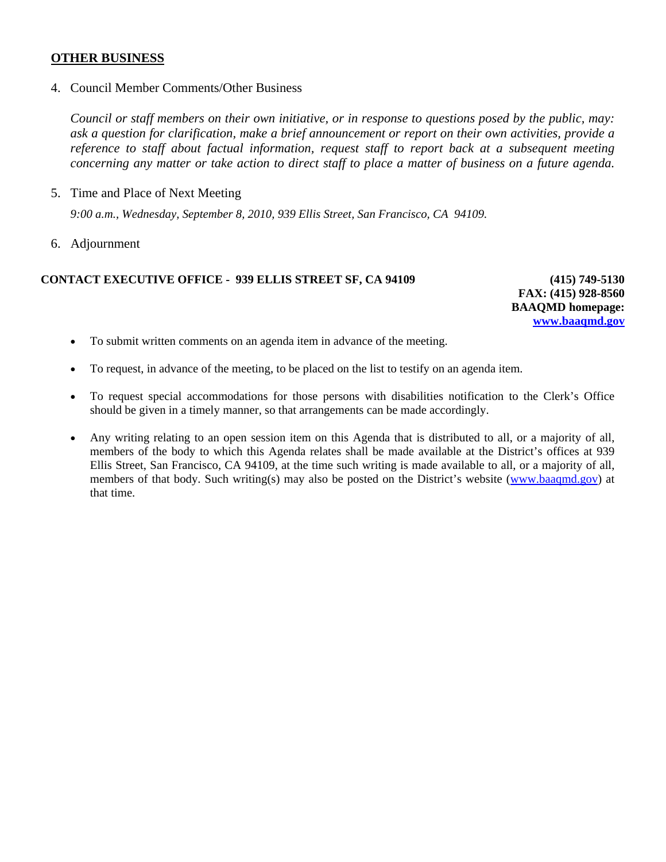#### **OTHER BUSINESS**

4. Council Member Comments/Other Business

*Council or staff members on their own initiative, or in response to questions posed by the public, may: ask a question for clarification, make a brief announcement or report on their own activities, provide a reference to staff about factual information, request staff to report back at a subsequent meeting concerning any matter or take action to direct staff to place a matter of business on a future agenda.* 

5. Time and Place of Next Meeting

*9:00 a.m., Wednesday, September 8, 2010, 939 Ellis Street, San Francisco, CA 94109.* 

6. Adjournment

#### **CONTACT EXECUTIVE OFFICE - 939 ELLIS STREET SF, CA 94109 (415) 749-5130**

**FAX: (415) 928-8560 BAAQMD homepage: [www.baaqmd.gov](http://www.baaqmd.gov/)**

- To submit written comments on an agenda item in advance of the meeting.
- To request, in advance of the meeting, to be placed on the list to testify on an agenda item.
- To request special accommodations for those persons with disabilities notification to the Clerk's Office should be given in a timely manner, so that arrangements can be made accordingly.
- Any writing relating to an open session item on this Agenda that is distributed to all, or a majority of all, members of the body to which this Agenda relates shall be made available at the District's offices at 939 Ellis Street, San Francisco, CA 94109, at the time such writing is made available to all, or a majority of all, members of that body. Such writing(s) may also be posted on the District's website [\(www.baaqmd.gov\)](http://www.baaqmd.gov/) at that time.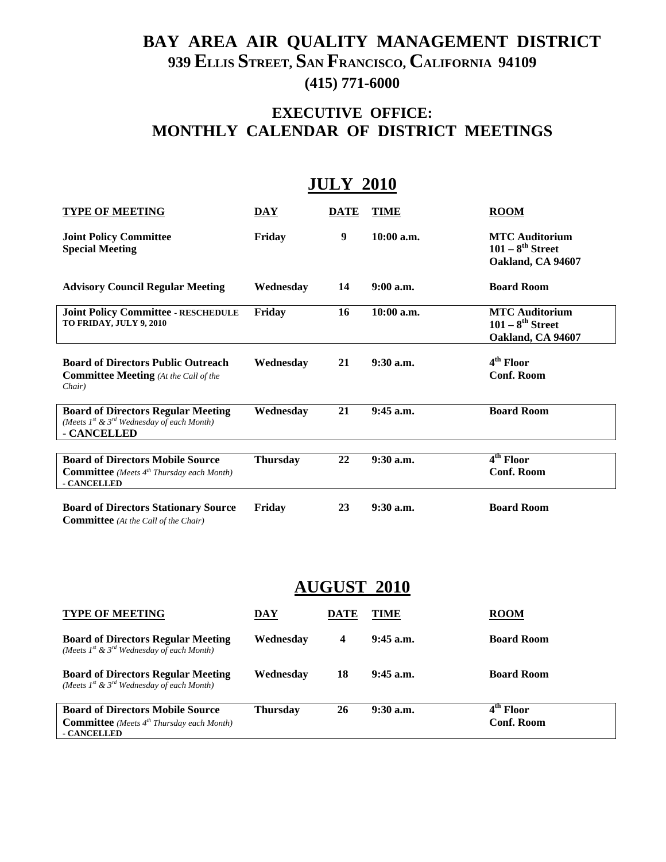# **BAY AREA AIR QUALITY MANAGEMENT DISTRICT 939 ELLIS STREET, SAN FRANCISCO, CALIFORNIA 94109 (415) 771-6000**

# **EXECUTIVE OFFICE: MONTHLY CALENDAR OF DISTRICT MEETINGS**

# **JULY 2010**

| <b>TYPE OF MEETING</b>                                                                                          | DAY             | <b>DATE</b> | <b>TIME</b>  | <b>ROOM</b>                                                       |
|-----------------------------------------------------------------------------------------------------------------|-----------------|-------------|--------------|-------------------------------------------------------------------|
| <b>Joint Policy Committee</b><br><b>Special Meeting</b>                                                         | Friday          | 9           | $10:00$ a.m. | <b>MTC</b> Auditorium<br>$101-8^{th}$ Street<br>Oakland, CA 94607 |
| <b>Advisory Council Regular Meeting</b>                                                                         | Wednesday       | 14          | $9:00$ a.m.  | <b>Board Room</b>                                                 |
| <b>Joint Policy Committee - RESCHEDULE</b><br>TO FRIDAY, JULY 9, 2010                                           | Friday          | 16          | 10:00 a.m.   | <b>MTC Auditorium</b><br>$101-8^{th}$ Street<br>Oakland, CA 94607 |
| <b>Board of Directors Public Outreach</b><br><b>Committee Meeting</b> (At the Call of the<br>Chair)             | Wednesday       | 21          | 9:30 a.m.    | 4 <sup>th</sup> Floor<br><b>Conf. Room</b>                        |
| <b>Board of Directors Regular Meeting</b><br>(Meets $I^{st}$ & $3^{rd}$ Wednesday of each Month)<br>- CANCELLED | Wednesday       | 21          | $9:45$ a.m.  | <b>Board Room</b>                                                 |
| <b>Board of Directors Mobile Source</b><br><b>Committee</b> (Meets $4th$ Thursday each Month)<br>- CANCELLED    | <b>Thursday</b> | 22          | 9:30 a.m.    | 4 <sup>th</sup> Floor<br><b>Conf. Room</b>                        |
| <b>Board of Directors Stationary Source</b><br><b>Committee</b> (At the Call of the Chair)                      | Friday          | 23          | 9:30 a.m.    | <b>Board Room</b>                                                 |

# **AUGUST 2010**

| <b>TYPE OF MEETING</b>                                                                                          | <b>DAY</b>      | DATE | TIME        | <b>ROOM</b>                      |
|-----------------------------------------------------------------------------------------------------------------|-----------------|------|-------------|----------------------------------|
| <b>Board of Directors Regular Meeting</b><br>(Meets $I^{st}$ & $3^{rd}$ Wednesday of each Month)                | Wednesday       | 4    | $9:45$ a.m. | <b>Board Room</b>                |
| <b>Board of Directors Regular Meeting</b><br>(Meets $I^{st}$ & $3^{rd}$ Wednesday of each Month)                | Wednesdav       | 18   | $9:45$ a.m. | <b>Board Room</b>                |
| <b>Board of Directors Mobile Source</b><br><b>Committee</b> (Meets $4^{th}$ Thursday each Month)<br>- CANCELLED | <b>Thursday</b> | 26   | $9:30$ a.m. | $4th$ Floor<br><b>Conf. Room</b> |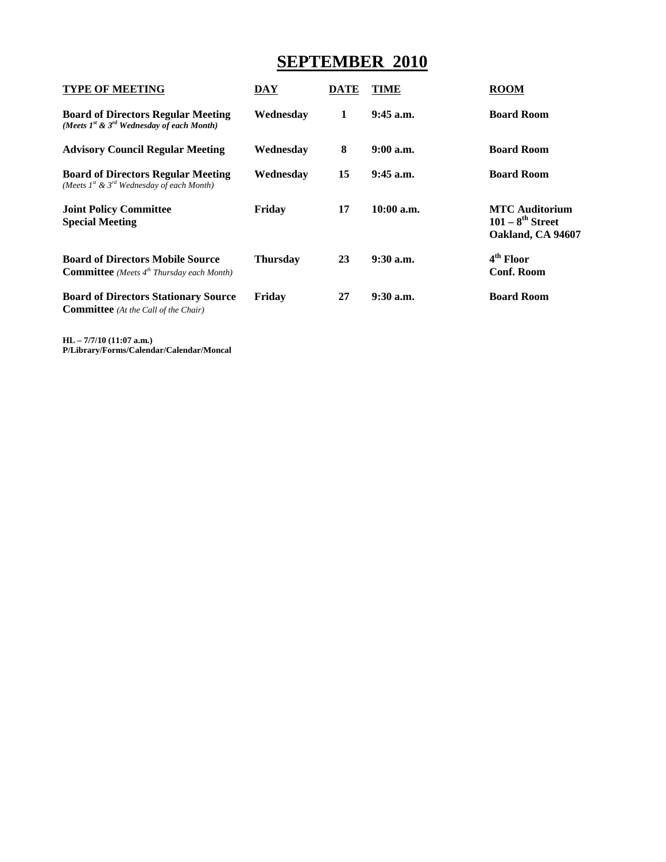# **SEPTEMBER 2010**

| DAY             | DATE | TIME         | <b>ROOM</b>                                                                  |
|-----------------|------|--------------|------------------------------------------------------------------------------|
| Wednesday       | 1    | $9:45$ a.m.  | <b>Board Room</b>                                                            |
| Wednesday       | 8    | $9:00$ a.m.  | <b>Board Room</b>                                                            |
| Wednesday       | 15   | $9:45$ a.m.  | <b>Board Room</b>                                                            |
| Friday          | 17   | $10:00$ a.m. | <b>MTC</b> Auditorium<br>$101 - 8$ <sup>th</sup> Street<br>Oakland, CA 94607 |
| <b>Thursday</b> | 23   | $9:30$ a.m.  | 4 <sup>th</sup> Floor<br><b>Conf. Room</b>                                   |
| Friday          | 27   | $9:30$ a.m.  | <b>Board Room</b>                                                            |
|                 |      |              |                                                                              |

**HL – 7/7/10 (11:07 a.m.) P/Library/Forms/Calendar/Calendar/Moncal**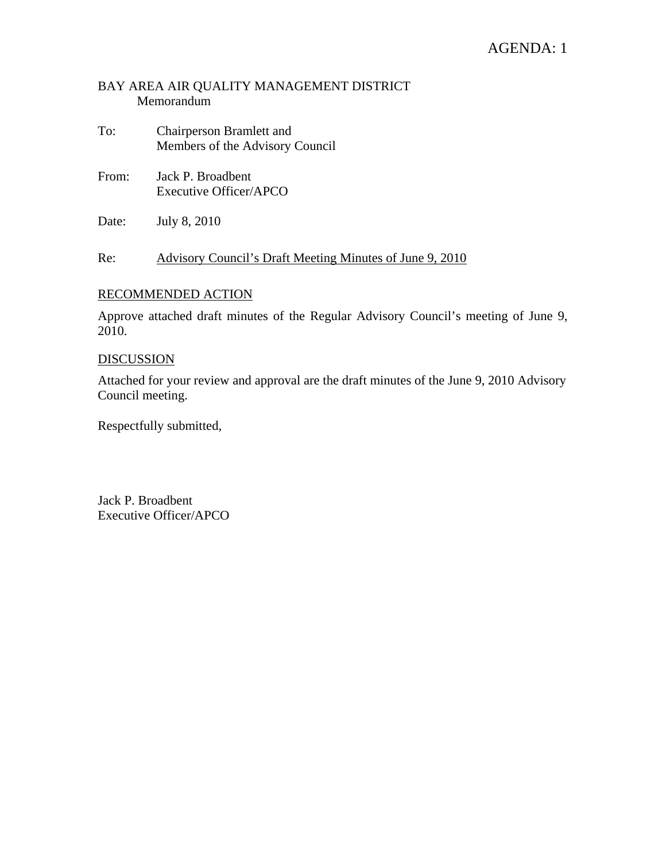## AGENDA: 1

#### BAY AREA AIR QUALITY MANAGEMENT DISTRICT Memorandum

- To: Chairperson Bramlett and Members of the Advisory Council
- From: Jack P. Broadbent Executive Officer/APCO
- Date: July 8, 2010

Re: Advisory Council's Draft Meeting Minutes of June 9, 2010

#### RECOMMENDED ACTION

Approve attached draft minutes of the Regular Advisory Council's meeting of June 9, 2010.

#### DISCUSSION

Attached for your review and approval are the draft minutes of the June 9, 2010 Advisory Council meeting.

Respectfully submitted,

Jack P. Broadbent Executive Officer/APCO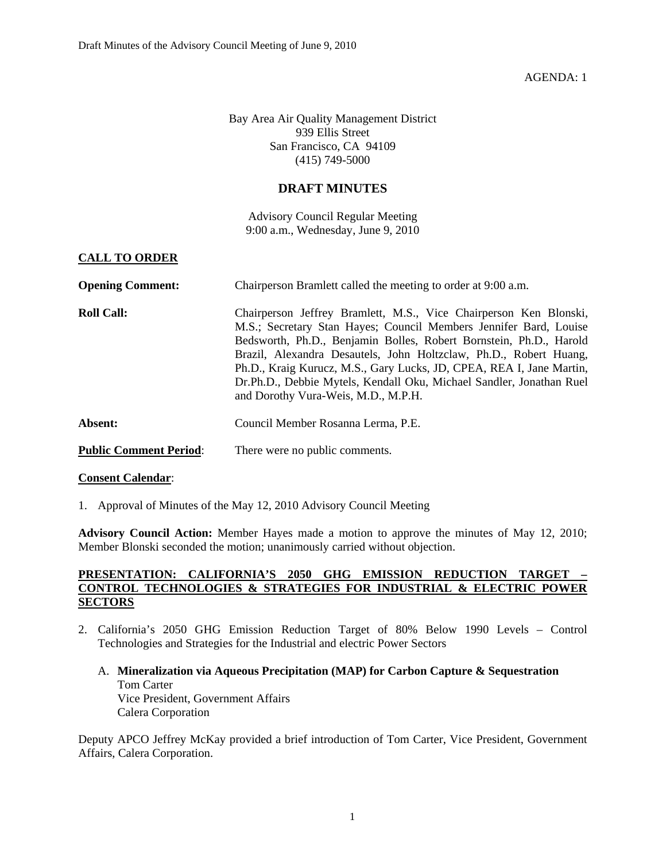AGENDA: 1

Bay Area Air Quality Management District 939 Ellis Street San Francisco, CA 94109 (415) 749-5000

#### **DRAFT MINUTES**

Advisory Council Regular Meeting 9:00 a.m., Wednesday, June 9, 2010

#### **CALL TO ORDER**

| <b>Opening Comment:</b>       | Chairperson Bramlett called the meeting to order at 9:00 a.m.                                                                                                                                                                                                                                                                                                                                                                                                            |
|-------------------------------|--------------------------------------------------------------------------------------------------------------------------------------------------------------------------------------------------------------------------------------------------------------------------------------------------------------------------------------------------------------------------------------------------------------------------------------------------------------------------|
| <b>Roll Call:</b>             | Chairperson Jeffrey Bramlett, M.S., Vice Chairperson Ken Blonski,<br>M.S.; Secretary Stan Hayes; Council Members Jennifer Bard, Louise<br>Bedsworth, Ph.D., Benjamin Bolles, Robert Bornstein, Ph.D., Harold<br>Brazil, Alexandra Desautels, John Holtzclaw, Ph.D., Robert Huang,<br>Ph.D., Kraig Kurucz, M.S., Gary Lucks, JD, CPEA, REA I, Jane Martin,<br>Dr.Ph.D., Debbie Mytels, Kendall Oku, Michael Sandler, Jonathan Ruel<br>and Dorothy Vura-Weis, M.D., M.P.H. |
| Absent:                       | Council Member Rosanna Lerma, P.E.                                                                                                                                                                                                                                                                                                                                                                                                                                       |
| <b>Public Comment Period:</b> | There were no public comments.                                                                                                                                                                                                                                                                                                                                                                                                                                           |

#### **Consent Calendar**:

1. Approval of Minutes of the May 12, 2010 Advisory Council Meeting

**Advisory Council Action:** Member Hayes made a motion to approve the minutes of May 12, 2010; Member Blonski seconded the motion; unanimously carried without objection.

#### **PRESENTATION: CALIFORNIA'S 2050 GHG EMISSION REDUCTION TARGET – CONTROL TECHNOLOGIES & STRATEGIES FOR INDUSTRIAL & ELECTRIC POWER SECTORS**

- 2. California's 2050 GHG Emission Reduction Target of 80% Below 1990 Levels Control Technologies and Strategies for the Industrial and electric Power Sectors
	- A. **Mineralization via Aqueous Precipitation (MAP) for Carbon Capture & Sequestration**  Tom Carter Vice President, Government Affairs Calera Corporation

Deputy APCO Jeffrey McKay provided a brief introduction of Tom Carter, Vice President, Government Affairs, Calera Corporation.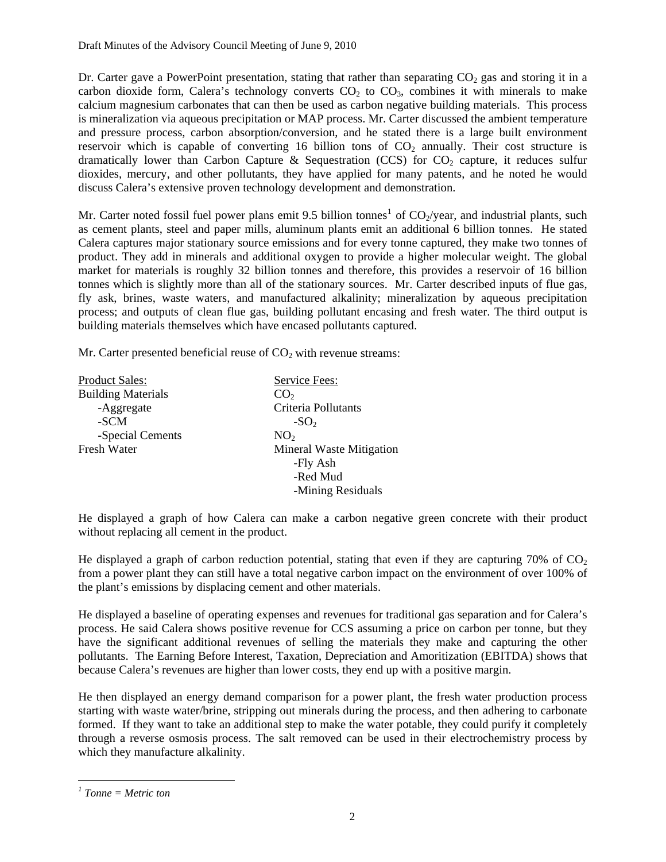Dr. Carter gave a PowerPoint presentation, stating that rather than separating  $CO<sub>2</sub>$  gas and storing it in a carbon dioxide form, Calera's technology converts  $CO<sub>2</sub>$  to  $CO<sub>3</sub>$ , combines it with minerals to make calcium magnesium carbonates that can then be used as carbon negative building materials. This process is mineralization via aqueous precipitation or MAP process. Mr. Carter discussed the ambient temperature and pressure process, carbon absorption/conversion, and he stated there is a large built environment reservoir which is capable of converting 16 billion tons of  $CO<sub>2</sub>$  annually. Their cost structure is dramatically lower than Carbon Capture & Sequestration (CCS) for  $CO<sub>2</sub>$  capture, it reduces sulfur dioxides, mercury, and other pollutants, they have applied for many patents, and he noted he would discuss Calera's extensive proven technology development and demonstration.

Mr. Carter noted fossil fuel power plans emit 9.5 billion tonnes<sup>[1](#page-6-0)</sup> of  $CO_2$ /year, and industrial plants, such as cement plants, steel and paper mills, aluminum plants emit an additional 6 billion tonnes. He stated Calera captures major stationary source emissions and for every tonne captured, they make two tonnes of product. They add in minerals and additional oxygen to provide a higher molecular weight. The global market for materials is roughly 32 billion tonnes and therefore, this provides a reservoir of 16 billion tonnes which is slightly more than all of the stationary sources. Mr. Carter described inputs of flue gas, fly ask, brines, waste waters, and manufactured alkalinity; mineralization by aqueous precipitation process; and outputs of clean flue gas, building pollutant encasing and fresh water. The third output is building materials themselves which have encased pollutants captured.

Mr. Carter presented beneficial reuse of  $CO<sub>2</sub>$  with revenue streams:

| <b>Product Sales:</b>     | Service Fees:                   |
|---------------------------|---------------------------------|
| <b>Building Materials</b> | CO <sub>2</sub>                 |
| -Aggregate                | Criteria Pollutants             |
| -SCM                      | $-SO2$                          |
| -Special Cements          | NO <sub>2</sub>                 |
| Fresh Water               | <b>Mineral Waste Mitigation</b> |
|                           | -Fly Ash                        |
|                           | -Red Mud                        |
|                           | -Mining Residuals               |

He displayed a graph of how Calera can make a carbon negative green concrete with their product without replacing all cement in the product.

He displayed a graph of carbon reduction potential, stating that even if they are capturing 70% of  $CO<sub>2</sub>$ from a power plant they can still have a total negative carbon impact on the environment of over 100% of the plant's emissions by displacing cement and other materials.

He displayed a baseline of operating expenses and revenues for traditional gas separation and for Calera's process. He said Calera shows positive revenue for CCS assuming a price on carbon per tonne, but they have the significant additional revenues of selling the materials they make and capturing the other pollutants. The Earning Before Interest, Taxation, Depreciation and Amoritization (EBITDA) shows that because Calera's revenues are higher than lower costs, they end up with a positive margin.

He then displayed an energy demand comparison for a power plant, the fresh water production process starting with waste water/brine, stripping out minerals during the process, and then adhering to carbonate formed. If they want to take an additional step to make the water potable, they could purify it completely through a reverse osmosis process. The salt removed can be used in their electrochemistry process by which they manufacture alkalinity.

<span id="page-6-0"></span> $\overline{a}$ *1 Tonne = Metric ton*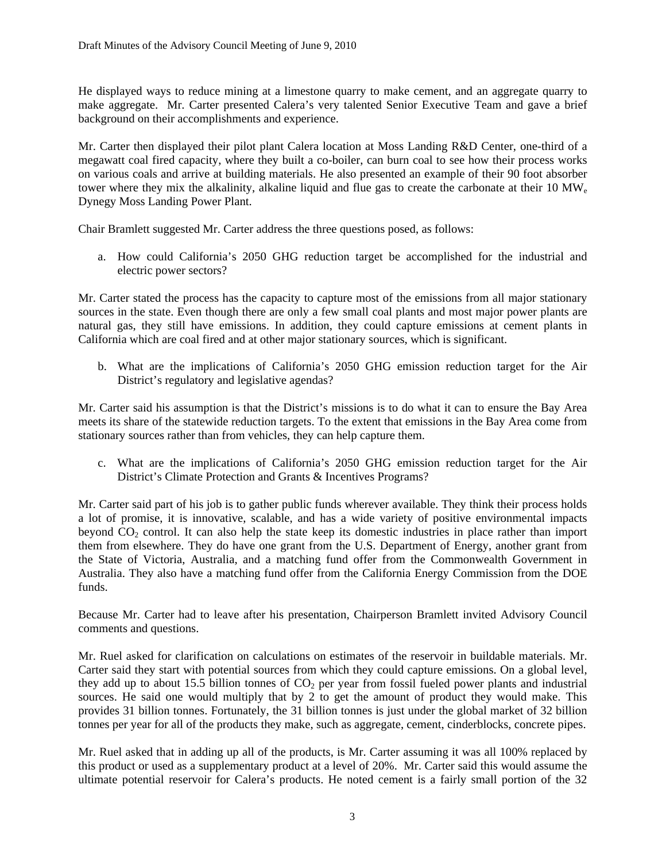He displayed ways to reduce mining at a limestone quarry to make cement, and an aggregate quarry to make aggregate. Mr. Carter presented Calera's very talented Senior Executive Team and gave a brief background on their accomplishments and experience.

Mr. Carter then displayed their pilot plant Calera location at Moss Landing R&D Center, one-third of a megawatt coal fired capacity, where they built a co-boiler, can burn coal to see how their process works on various coals and arrive at building materials. He also presented an example of their 90 foot absorber tower where they mix the alkalinity, alkaline liquid and flue gas to create the carbonate at their 10  $\text{MW}_{\text{e}}$ Dynegy Moss Landing Power Plant.

Chair Bramlett suggested Mr. Carter address the three questions posed, as follows:

a. How could California's 2050 GHG reduction target be accomplished for the industrial and electric power sectors?

Mr. Carter stated the process has the capacity to capture most of the emissions from all major stationary sources in the state. Even though there are only a few small coal plants and most major power plants are natural gas, they still have emissions. In addition, they could capture emissions at cement plants in California which are coal fired and at other major stationary sources, which is significant.

b. What are the implications of California's 2050 GHG emission reduction target for the Air District's regulatory and legislative agendas?

Mr. Carter said his assumption is that the District's missions is to do what it can to ensure the Bay Area meets its share of the statewide reduction targets. To the extent that emissions in the Bay Area come from stationary sources rather than from vehicles, they can help capture them.

c. What are the implications of California's 2050 GHG emission reduction target for the Air District's Climate Protection and Grants & Incentives Programs?

Mr. Carter said part of his job is to gather public funds wherever available. They think their process holds a lot of promise, it is innovative, scalable, and has a wide variety of positive environmental impacts beyond  $CO<sub>2</sub>$  control. It can also help the state keep its domestic industries in place rather than import them from elsewhere. They do have one grant from the U.S. Department of Energy, another grant from the State of Victoria, Australia, and a matching fund offer from the Commonwealth Government in Australia. They also have a matching fund offer from the California Energy Commission from the DOE funds.

Because Mr. Carter had to leave after his presentation, Chairperson Bramlett invited Advisory Council comments and questions.

Mr. Ruel asked for clarification on calculations on estimates of the reservoir in buildable materials. Mr. Carter said they start with potential sources from which they could capture emissions. On a global level, they add up to about 15.5 billion tonnes of  $CO<sub>2</sub>$  per year from fossil fueled power plants and industrial sources. He said one would multiply that by 2 to get the amount of product they would make. This provides 31 billion tonnes. Fortunately, the 31 billion tonnes is just under the global market of 32 billion tonnes per year for all of the products they make, such as aggregate, cement, cinderblocks, concrete pipes.

Mr. Ruel asked that in adding up all of the products, is Mr. Carter assuming it was all 100% replaced by this product or used as a supplementary product at a level of 20%. Mr. Carter said this would assume the ultimate potential reservoir for Calera's products. He noted cement is a fairly small portion of the 32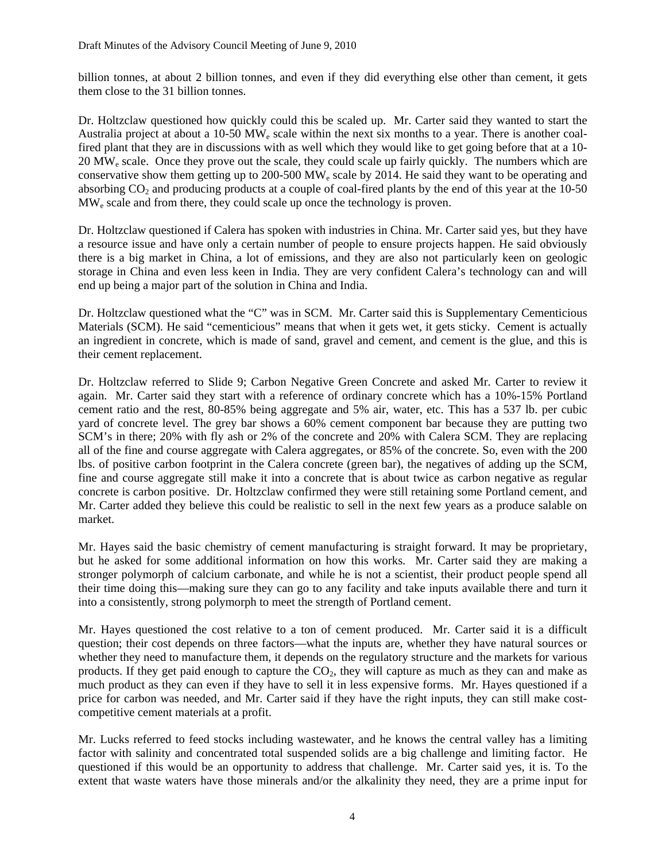billion tonnes, at about 2 billion tonnes, and even if they did everything else other than cement, it gets them close to the 31 billion tonnes.

Dr. Holtzclaw questioned how quickly could this be scaled up. Mr. Carter said they wanted to start the Australia project at about a 10-50  $\text{MW}_e$  scale within the next six months to a year. There is another coalfired plant that they are in discussions with as well which they would like to get going before that at a 10-  $20 \text{ MW}_e$  scale. Once they prove out the scale, they could scale up fairly quickly. The numbers which are conservative show them getting up to 200-500 MW<sub>e</sub> scale by 2014. He said they want to be operating and absorbing  $CO<sub>2</sub>$  and producing products at a couple of coal-fired plants by the end of this year at the 10-50 MWe scale and from there, they could scale up once the technology is proven.

Dr. Holtzclaw questioned if Calera has spoken with industries in China. Mr. Carter said yes, but they have a resource issue and have only a certain number of people to ensure projects happen. He said obviously there is a big market in China, a lot of emissions, and they are also not particularly keen on geologic storage in China and even less keen in India. They are very confident Calera's technology can and will end up being a major part of the solution in China and India.

Dr. Holtzclaw questioned what the "C" was in SCM. Mr. Carter said this is Supplementary Cementicious Materials (SCM). He said "cementicious" means that when it gets wet, it gets sticky. Cement is actually an ingredient in concrete, which is made of sand, gravel and cement, and cement is the glue, and this is their cement replacement.

Dr. Holtzclaw referred to Slide 9; Carbon Negative Green Concrete and asked Mr. Carter to review it again. Mr. Carter said they start with a reference of ordinary concrete which has a 10%-15% Portland cement ratio and the rest, 80-85% being aggregate and 5% air, water, etc. This has a 537 lb. per cubic yard of concrete level. The grey bar shows a 60% cement component bar because they are putting two SCM's in there; 20% with fly ash or 2% of the concrete and 20% with Calera SCM. They are replacing all of the fine and course aggregate with Calera aggregates, or 85% of the concrete. So, even with the 200 lbs. of positive carbon footprint in the Calera concrete (green bar), the negatives of adding up the SCM, fine and course aggregate still make it into a concrete that is about twice as carbon negative as regular concrete is carbon positive. Dr. Holtzclaw confirmed they were still retaining some Portland cement, and Mr. Carter added they believe this could be realistic to sell in the next few years as a produce salable on market.

Mr. Hayes said the basic chemistry of cement manufacturing is straight forward. It may be proprietary, but he asked for some additional information on how this works. Mr. Carter said they are making a stronger polymorph of calcium carbonate, and while he is not a scientist, their product people spend all their time doing this—making sure they can go to any facility and take inputs available there and turn it into a consistently, strong polymorph to meet the strength of Portland cement.

Mr. Hayes questioned the cost relative to a ton of cement produced. Mr. Carter said it is a difficult question; their cost depends on three factors—what the inputs are, whether they have natural sources or whether they need to manufacture them, it depends on the regulatory structure and the markets for various products. If they get paid enough to capture the  $CO<sub>2</sub>$ , they will capture as much as they can and make as much product as they can even if they have to sell it in less expensive forms. Mr. Hayes questioned if a price for carbon was needed, and Mr. Carter said if they have the right inputs, they can still make costcompetitive cement materials at a profit.

Mr. Lucks referred to feed stocks including wastewater, and he knows the central valley has a limiting factor with salinity and concentrated total suspended solids are a big challenge and limiting factor. He questioned if this would be an opportunity to address that challenge. Mr. Carter said yes, it is. To the extent that waste waters have those minerals and/or the alkalinity they need, they are a prime input for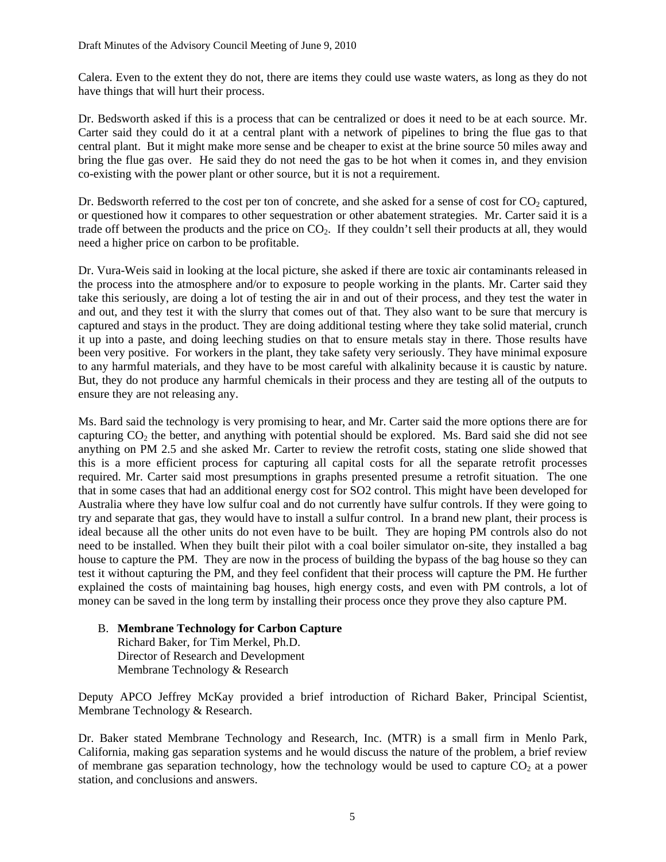Calera. Even to the extent they do not, there are items they could use waste waters, as long as they do not have things that will hurt their process.

Dr. Bedsworth asked if this is a process that can be centralized or does it need to be at each source. Mr. Carter said they could do it at a central plant with a network of pipelines to bring the flue gas to that central plant. But it might make more sense and be cheaper to exist at the brine source 50 miles away and bring the flue gas over. He said they do not need the gas to be hot when it comes in, and they envision co-existing with the power plant or other source, but it is not a requirement.

Dr. Bedsworth referred to the cost per ton of concrete, and she asked for a sense of cost for  $CO_2$  captured, or questioned how it compares to other sequestration or other abatement strategies. Mr. Carter said it is a trade off between the products and the price on  $CO<sub>2</sub>$ . If they couldn't sell their products at all, they would need a higher price on carbon to be profitable.

Dr. Vura-Weis said in looking at the local picture, she asked if there are toxic air contaminants released in the process into the atmosphere and/or to exposure to people working in the plants. Mr. Carter said they take this seriously, are doing a lot of testing the air in and out of their process, and they test the water in and out, and they test it with the slurry that comes out of that. They also want to be sure that mercury is captured and stays in the product. They are doing additional testing where they take solid material, crunch it up into a paste, and doing leeching studies on that to ensure metals stay in there. Those results have been very positive. For workers in the plant, they take safety very seriously. They have minimal exposure to any harmful materials, and they have to be most careful with alkalinity because it is caustic by nature. But, they do not produce any harmful chemicals in their process and they are testing all of the outputs to ensure they are not releasing any.

Ms. Bard said the technology is very promising to hear, and Mr. Carter said the more options there are for capturing  $CO<sub>2</sub>$  the better, and anything with potential should be explored. Ms. Bard said she did not see anything on PM 2.5 and she asked Mr. Carter to review the retrofit costs, stating one slide showed that this is a more efficient process for capturing all capital costs for all the separate retrofit processes required. Mr. Carter said most presumptions in graphs presented presume a retrofit situation. The one that in some cases that had an additional energy cost for SO2 control. This might have been developed for Australia where they have low sulfur coal and do not currently have sulfur controls. If they were going to try and separate that gas, they would have to install a sulfur control. In a brand new plant, their process is ideal because all the other units do not even have to be built. They are hoping PM controls also do not need to be installed. When they built their pilot with a coal boiler simulator on-site, they installed a bag house to capture the PM. They are now in the process of building the bypass of the bag house so they can test it without capturing the PM, and they feel confident that their process will capture the PM. He further explained the costs of maintaining bag houses, high energy costs, and even with PM controls, a lot of money can be saved in the long term by installing their process once they prove they also capture PM.

B. **Membrane Technology for Carbon Capture**  Richard Baker, for Tim Merkel, Ph.D. Director of Research and Development Membrane Technology & Research

Deputy APCO Jeffrey McKay provided a brief introduction of Richard Baker, Principal Scientist, Membrane Technology & Research.

Dr. Baker stated Membrane Technology and Research, Inc. (MTR) is a small firm in Menlo Park, California, making gas separation systems and he would discuss the nature of the problem, a brief review of membrane gas separation technology, how the technology would be used to capture  $CO<sub>2</sub>$  at a power station, and conclusions and answers.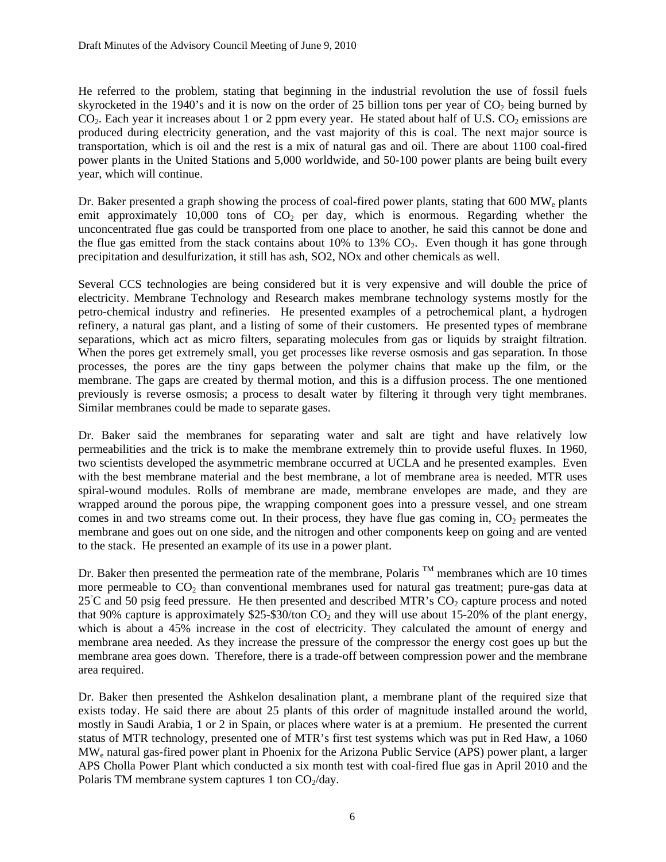He referred to the problem, stating that beginning in the industrial revolution the use of fossil fuels skyrocketed in the 1940's and it is now on the order of 25 billion tons per year of  $CO<sub>2</sub>$  being burned by  $CO<sub>2</sub>$ . Each year it increases about 1 or 2 ppm every year. He stated about half of U.S.  $CO<sub>2</sub>$  emissions are produced during electricity generation, and the vast majority of this is coal. The next major source is transportation, which is oil and the rest is a mix of natural gas and oil. There are about 1100 coal-fired power plants in the United Stations and 5,000 worldwide, and 50-100 power plants are being built every year, which will continue.

Dr. Baker presented a graph showing the process of coal-fired power plants, stating that 600 MW<sub>e</sub> plants emit approximately 10,000 tons of  $CO<sub>2</sub>$  per day, which is enormous. Regarding whether the unconcentrated flue gas could be transported from one place to another, he said this cannot be done and the flue gas emitted from the stack contains about  $10\%$  to  $13\%$  CO<sub>2</sub>. Even though it has gone through precipitation and desulfurization, it still has ash, SO2, NOx and other chemicals as well.

Several CCS technologies are being considered but it is very expensive and will double the price of electricity. Membrane Technology and Research makes membrane technology systems mostly for the petro-chemical industry and refineries. He presented examples of a petrochemical plant, a hydrogen refinery, a natural gas plant, and a listing of some of their customers. He presented types of membrane separations, which act as micro filters, separating molecules from gas or liquids by straight filtration. When the pores get extremely small, you get processes like reverse osmosis and gas separation. In those processes, the pores are the tiny gaps between the polymer chains that make up the film, or the membrane. The gaps are created by thermal motion, and this is a diffusion process. The one mentioned previously is reverse osmosis; a process to desalt water by filtering it through very tight membranes. Similar membranes could be made to separate gases.

Dr. Baker said the membranes for separating water and salt are tight and have relatively low permeabilities and the trick is to make the membrane extremely thin to provide useful fluxes. In 1960, two scientists developed the asymmetric membrane occurred at UCLA and he presented examples. Even with the best membrane material and the best membrane, a lot of membrane area is needed. MTR uses spiral-wound modules. Rolls of membrane are made, membrane envelopes are made, and they are wrapped around the porous pipe, the wrapping component goes into a pressure vessel, and one stream comes in and two streams come out. In their process, they have flue gas coming in,  $CO<sub>2</sub>$  permeates the membrane and goes out on one side, and the nitrogen and other components keep on going and are vented to the stack. He presented an example of its use in a power plant.

Dr. Baker then presented the permeation rate of the membrane, Polaris  $^{TM}$  membranes which are 10 times more permeable to  $CO<sub>2</sub>$  than conventional membranes used for natural gas treatment; pure-gas data at 25℃ and 50 psig feed pressure. He then presented and described MTR's CO<sub>2</sub> capture process and noted that 90% capture is approximately \$25-\$30/ton  $CO_2$  and they will use about 15-20% of the plant energy, which is about a 45% increase in the cost of electricity. They calculated the amount of energy and membrane area needed. As they increase the pressure of the compressor the energy cost goes up but the membrane area goes down. Therefore, there is a trade-off between compression power and the membrane area required.

Dr. Baker then presented the Ashkelon desalination plant, a membrane plant of the required size that exists today. He said there are about 25 plants of this order of magnitude installed around the world, mostly in Saudi Arabia, 1 or 2 in Spain, or places where water is at a premium. He presented the current status of MTR technology, presented one of MTR's first test systems which was put in Red Haw, a 1060 MWe natural gas-fired power plant in Phoenix for the Arizona Public Service (APS) power plant, a larger APS Cholla Power Plant which conducted a six month test with coal-fired flue gas in April 2010 and the Polaris TM membrane system captures 1 ton  $CO<sub>2</sub>/day$ .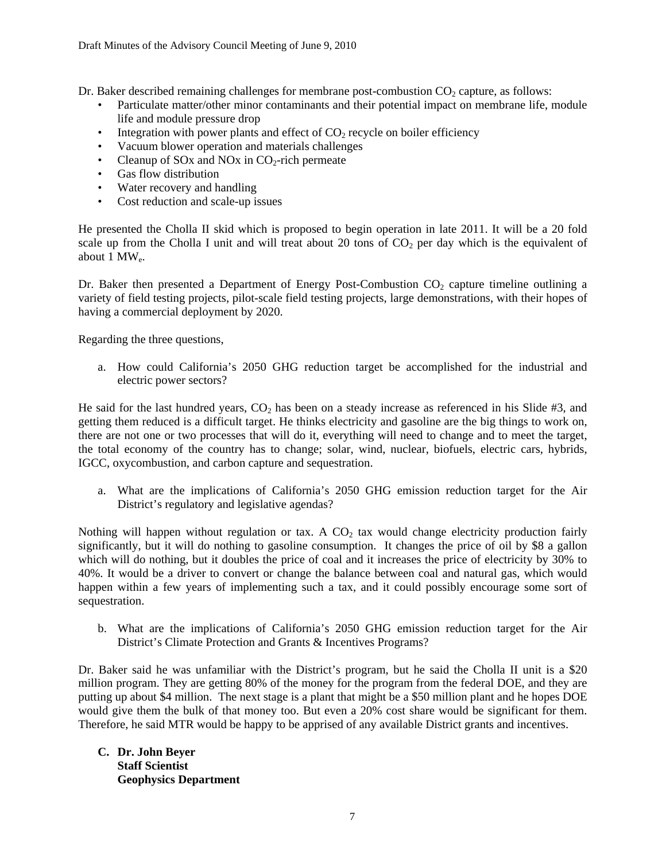Dr. Baker described remaining challenges for membrane post-combustion  $CO<sub>2</sub>$  capture, as follows:

- Particulate matter/other minor contaminants and their potential impact on membrane life, module life and module pressure drop
- Integration with power plants and effect of  $CO<sub>2</sub>$  recycle on boiler efficiency
- Vacuum blower operation and materials challenges
- Cleanup of SOx and NOx in  $CO<sub>2</sub>$ -rich permeate
- Gas flow distribution
- Water recovery and handling
- Cost reduction and scale-up issues

He presented the Cholla II skid which is proposed to begin operation in late 2011. It will be a 20 fold scale up from the Cholla I unit and will treat about 20 tons of  $CO<sub>2</sub>$  per day which is the equivalent of about 1 MWe.

Dr. Baker then presented a Department of Energy Post-Combustion  $CO<sub>2</sub>$  capture timeline outlining a variety of field testing projects, pilot-scale field testing projects, large demonstrations, with their hopes of having a commercial deployment by 2020.

Regarding the three questions,

a. How could California's 2050 GHG reduction target be accomplished for the industrial and electric power sectors?

He said for the last hundred years,  $CO<sub>2</sub>$  has been on a steady increase as referenced in his Slide #3, and getting them reduced is a difficult target. He thinks electricity and gasoline are the big things to work on, there are not one or two processes that will do it, everything will need to change and to meet the target, the total economy of the country has to change; solar, wind, nuclear, biofuels, electric cars, hybrids, IGCC, oxycombustion, and carbon capture and sequestration.

a. What are the implications of California's 2050 GHG emission reduction target for the Air District's regulatory and legislative agendas?

Nothing will happen without regulation or tax. A  $CO<sub>2</sub>$  tax would change electricity production fairly significantly, but it will do nothing to gasoline consumption. It changes the price of oil by \$8 a gallon which will do nothing, but it doubles the price of coal and it increases the price of electricity by 30% to 40%. It would be a driver to convert or change the balance between coal and natural gas, which would happen within a few years of implementing such a tax, and it could possibly encourage some sort of sequestration.

b. What are the implications of California's 2050 GHG emission reduction target for the Air District's Climate Protection and Grants & Incentives Programs?

Dr. Baker said he was unfamiliar with the District's program, but he said the Cholla II unit is a \$20 million program. They are getting 80% of the money for the program from the federal DOE, and they are putting up about \$4 million. The next stage is a plant that might be a \$50 million plant and he hopes DOE would give them the bulk of that money too. But even a 20% cost share would be significant for them. Therefore, he said MTR would be happy to be apprised of any available District grants and incentives.

#### **C. Dr. John Beyer Staff Scientist Geophysics Department**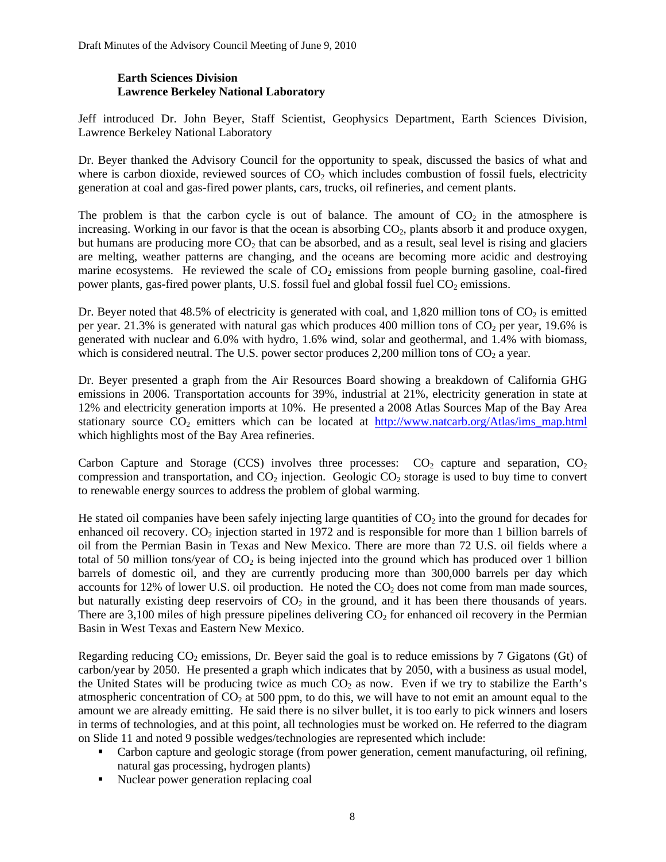#### **Earth Sciences Division Lawrence Berkeley National Laboratory**

Jeff introduced Dr. John Beyer, Staff Scientist, Geophysics Department, Earth Sciences Division, Lawrence Berkeley National Laboratory

Dr. Beyer thanked the Advisory Council for the opportunity to speak, discussed the basics of what and where is carbon dioxide, reviewed sources of  $CO<sub>2</sub>$  which includes combustion of fossil fuels, electricity generation at coal and gas-fired power plants, cars, trucks, oil refineries, and cement plants.

The problem is that the carbon cycle is out of balance. The amount of  $CO<sub>2</sub>$  in the atmosphere is increasing. Working in our favor is that the ocean is absorbing  $CO<sub>2</sub>$ , plants absorb it and produce oxygen, but humans are producing more  $CO<sub>2</sub>$  that can be absorbed, and as a result, seal level is rising and glaciers are melting, weather patterns are changing, and the oceans are becoming more acidic and destroying marine ecosystems. He reviewed the scale of  $CO<sub>2</sub>$  emissions from people burning gasoline, coal-fired power plants, gas-fired power plants, U.S. fossil fuel and global fossil fuel CO<sub>2</sub> emissions.

Dr. Beyer noted that 48.5% of electricity is generated with coal, and 1,820 million tons of  $CO<sub>2</sub>$  is emitted per year. 21.3% is generated with natural gas which produces 400 million tons of  $CO<sub>2</sub>$  per year, 19.6% is generated with nuclear and 6.0% with hydro, 1.6% wind, solar and geothermal, and 1.4% with biomass, which is considered neutral. The U.S. power sector produces  $2,200$  million tons of  $CO<sub>2</sub>$  a year.

Dr. Beyer presented a graph from the Air Resources Board showing a breakdown of California GHG emissions in 2006. Transportation accounts for 39%, industrial at 21%, electricity generation in state at 12% and electricity generation imports at 10%. He presented a 2008 Atlas Sources Map of the Bay Area stationary source  $CO_2$  emitters which can be located at [http://www.natcarb.org/Atlas/ims\\_map.html](http://www.natcarb.org/Atlas/ims_map.html) which highlights most of the Bay Area refineries.

Carbon Capture and Storage (CCS) involves three processes:  $CO<sub>2</sub>$  capture and separation,  $CO<sub>2</sub>$ compression and transportation, and  $CO<sub>2</sub>$  injection. Geologic  $CO<sub>2</sub>$  storage is used to buy time to convert to renewable energy sources to address the problem of global warming.

He stated oil companies have been safely injecting large quantities of  $CO<sub>2</sub>$  into the ground for decades for enhanced oil recovery.  $CO<sub>2</sub>$  injection started in 1972 and is responsible for more than 1 billion barrels of oil from the Permian Basin in Texas and New Mexico. There are more than 72 U.S. oil fields where a total of 50 million tons/year of  $CO<sub>2</sub>$  is being injected into the ground which has produced over 1 billion barrels of domestic oil, and they are currently producing more than 300,000 barrels per day which accounts for 12% of lower U.S. oil production. He noted the  $CO<sub>2</sub>$  does not come from man made sources, but naturally existing deep reservoirs of  $CO<sub>2</sub>$  in the ground, and it has been there thousands of years. There are  $3,100$  miles of high pressure pipelines delivering  $CO<sub>2</sub>$  for enhanced oil recovery in the Permian Basin in West Texas and Eastern New Mexico.

Regarding reducing  $CO<sub>2</sub>$  emissions, Dr. Beyer said the goal is to reduce emissions by 7 Gigatons (Gt) of carbon/year by 2050. He presented a graph which indicates that by 2050, with a business as usual model, the United States will be producing twice as much  $CO<sub>2</sub>$  as now. Even if we try to stabilize the Earth's atmospheric concentration of  $CO<sub>2</sub>$  at 500 ppm, to do this, we will have to not emit an amount equal to the amount we are already emitting. He said there is no silver bullet, it is too early to pick winners and losers in terms of technologies, and at this point, all technologies must be worked on. He referred to the diagram on Slide 11 and noted 9 possible wedges/technologies are represented which include:

- Carbon capture and geologic storage (from power generation, cement manufacturing, oil refining, natural gas processing, hydrogen plants)
- Nuclear power generation replacing coal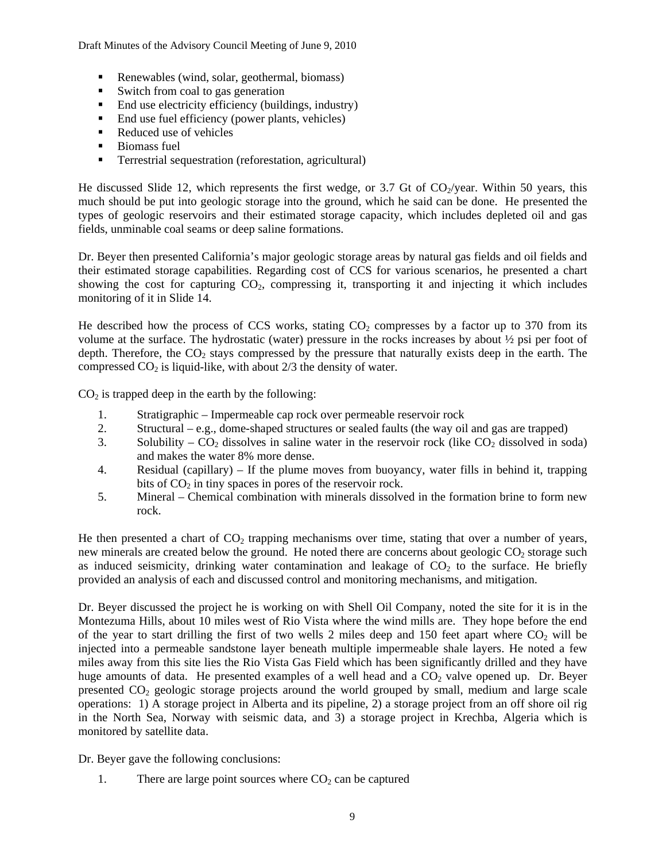Draft Minutes of the Advisory Council Meeting of June 9, 2010

- Renewables (wind, solar, geothermal, biomass)
- Switch from coal to gas generation
- End use electricity efficiency (buildings, industry)
- End use fuel efficiency (power plants, vehicles)
- Reduced use of vehicles
- $\blacksquare$  Biomass fuel
- **Terrestrial sequestration (reforestation, agricultural)**

He discussed Slide 12, which represents the first wedge, or 3.7 Gt of  $CO_2$ /year. Within 50 years, this much should be put into geologic storage into the ground, which he said can be done. He presented the types of geologic reservoirs and their estimated storage capacity, which includes depleted oil and gas fields, unminable coal seams or deep saline formations.

Dr. Beyer then presented California's major geologic storage areas by natural gas fields and oil fields and their estimated storage capabilities. Regarding cost of CCS for various scenarios, he presented a chart showing the cost for capturing CO<sub>2</sub>, compressing it, transporting it and injecting it which includes monitoring of it in Slide 14.

He described how the process of CCS works, stating  $CO<sub>2</sub>$  compresses by a factor up to 370 from its volume at the surface. The hydrostatic (water) pressure in the rocks increases by about ½ psi per foot of depth. Therefore, the  $CO<sub>2</sub>$  stays compressed by the pressure that naturally exists deep in the earth. The compressed  $CO<sub>2</sub>$  is liquid-like, with about  $2/3$  the density of water.

 $CO<sub>2</sub>$  is trapped deep in the earth by the following:

- 1. Stratigraphic Impermeable cap rock over permeable reservoir rock
- 2. Structural e.g., dome-shaped structures or sealed faults (the way oil and gas are trapped)
- 3. Solubility  $CO_2$  dissolves in saline water in the reservoir rock (like  $CO_2$  dissolved in soda) and makes the water 8% more dense.
- 4. Residual (capillary) If the plume moves from buoyancy, water fills in behind it, trapping bits of  $CO<sub>2</sub>$  in tiny spaces in pores of the reservoir rock.
- 5. Mineral Chemical combination with minerals dissolved in the formation brine to form new rock.

He then presented a chart of  $CO<sub>2</sub>$  trapping mechanisms over time, stating that over a number of years, new minerals are created below the ground. He noted there are concerns about geologic  $CO<sub>2</sub>$  storage such as induced seismicity, drinking water contamination and leakage of  $CO<sub>2</sub>$  to the surface. He briefly provided an analysis of each and discussed control and monitoring mechanisms, and mitigation.

Dr. Beyer discussed the project he is working on with Shell Oil Company, noted the site for it is in the Montezuma Hills, about 10 miles west of Rio Vista where the wind mills are. They hope before the end of the year to start drilling the first of two wells 2 miles deep and 150 feet apart where  $CO<sub>2</sub>$  will be injected into a permeable sandstone layer beneath multiple impermeable shale layers. He noted a few miles away from this site lies the Rio Vista Gas Field which has been significantly drilled and they have huge amounts of data. He presented examples of a well head and a  $CO<sub>2</sub>$  valve opened up. Dr. Beyer presented  $CO<sub>2</sub>$  geologic storage projects around the world grouped by small, medium and large scale operations: 1) A storage project in Alberta and its pipeline, 2) a storage project from an off shore oil rig in the North Sea, Norway with seismic data, and 3) a storage project in Krechba, Algeria which is monitored by satellite data.

Dr. Beyer gave the following conclusions:

1. There are large point sources where  $CO<sub>2</sub>$  can be captured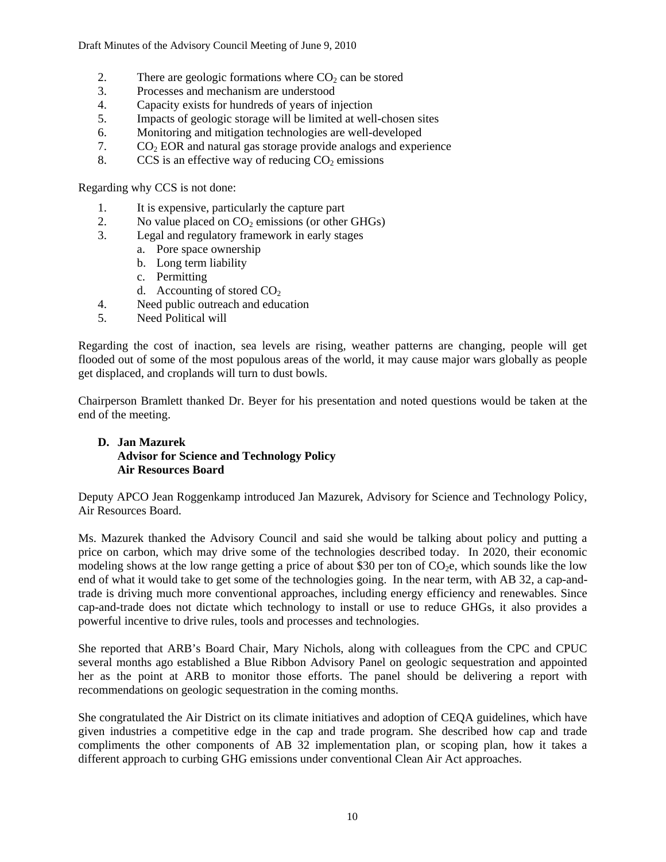Draft Minutes of the Advisory Council Meeting of June 9, 2010

- 2. There are geologic formations where  $CO<sub>2</sub>$  can be stored
- 3. Processes and mechanism are understood
- 4. Capacity exists for hundreds of years of injection
- 5. Impacts of geologic storage will be limited at well-chosen sites
- 6. Monitoring and mitigation technologies are well-developed
- 7.  $CO<sub>2</sub> EOR$  and natural gas storage provide analogs and experience
- 8. CCS is an effective way of reducing  $CO<sub>2</sub>$  emissions

Regarding why CCS is not done:

- 1. It is expensive, particularly the capture part
- 2. No value placed on  $CO_2$  emissions (or other GHGs)<br>3. Legal and regulatory framework in early stages
- Legal and regulatory framework in early stages
	- a. Pore space ownership
	- b. Long term liability
	- c. Permitting
	- d. Accounting of stored  $CO<sub>2</sub>$
- 4. Need public outreach and education
- 5. Need Political will

Regarding the cost of inaction, sea levels are rising, weather patterns are changing, people will get flooded out of some of the most populous areas of the world, it may cause major wars globally as people get displaced, and croplands will turn to dust bowls.

Chairperson Bramlett thanked Dr. Beyer for his presentation and noted questions would be taken at the end of the meeting.

#### **D. Jan Mazurek Advisor for Science and Technology Policy Air Resources Board**

Deputy APCO Jean Roggenkamp introduced Jan Mazurek, Advisory for Science and Technology Policy, Air Resources Board.

Ms. Mazurek thanked the Advisory Council and said she would be talking about policy and putting a price on carbon, which may drive some of the technologies described today. In 2020, their economic modeling shows at the low range getting a price of about \$30 per ton of  $CO<sub>2</sub>e$ , which sounds like the low end of what it would take to get some of the technologies going. In the near term, with AB 32, a cap-andtrade is driving much more conventional approaches, including energy efficiency and renewables. Since cap-and-trade does not dictate which technology to install or use to reduce GHGs, it also provides a powerful incentive to drive rules, tools and processes and technologies.

She reported that ARB's Board Chair, Mary Nichols, along with colleagues from the CPC and CPUC several months ago established a Blue Ribbon Advisory Panel on geologic sequestration and appointed her as the point at ARB to monitor those efforts. The panel should be delivering a report with recommendations on geologic sequestration in the coming months.

She congratulated the Air District on its climate initiatives and adoption of CEQA guidelines, which have given industries a competitive edge in the cap and trade program. She described how cap and trade compliments the other components of AB 32 implementation plan, or scoping plan, how it takes a different approach to curbing GHG emissions under conventional Clean Air Act approaches.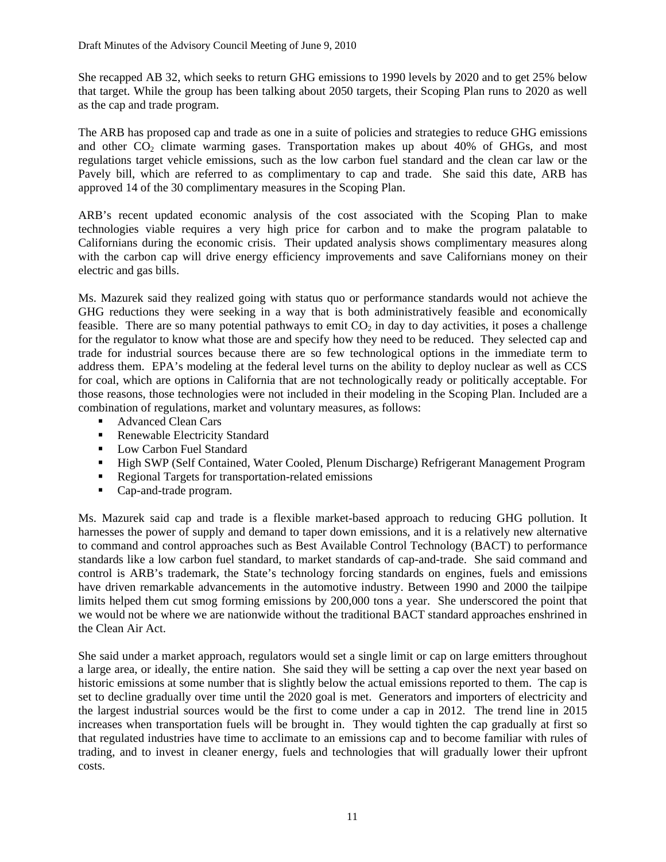She recapped AB 32, which seeks to return GHG emissions to 1990 levels by 2020 and to get 25% below that target. While the group has been talking about 2050 targets, their Scoping Plan runs to 2020 as well as the cap and trade program.

The ARB has proposed cap and trade as one in a suite of policies and strategies to reduce GHG emissions and other CO<sub>2</sub> climate warming gases. Transportation makes up about 40% of GHGs, and most regulations target vehicle emissions, such as the low carbon fuel standard and the clean car law or the Pavely bill, which are referred to as complimentary to cap and trade. She said this date, ARB has approved 14 of the 30 complimentary measures in the Scoping Plan.

ARB's recent updated economic analysis of the cost associated with the Scoping Plan to make technologies viable requires a very high price for carbon and to make the program palatable to Californians during the economic crisis. Their updated analysis shows complimentary measures along with the carbon cap will drive energy efficiency improvements and save Californians money on their electric and gas bills.

Ms. Mazurek said they realized going with status quo or performance standards would not achieve the GHG reductions they were seeking in a way that is both administratively feasible and economically feasible. There are so many potential pathways to emit  $CO<sub>2</sub>$  in day to day activities, it poses a challenge for the regulator to know what those are and specify how they need to be reduced. They selected cap and trade for industrial sources because there are so few technological options in the immediate term to address them. EPA's modeling at the federal level turns on the ability to deploy nuclear as well as CCS for coal, which are options in California that are not technologically ready or politically acceptable. For those reasons, those technologies were not included in their modeling in the Scoping Plan. Included are a combination of regulations, market and voluntary measures, as follows:

- Advanced Clean Cars
- Renewable Electricity Standard
- **Low Carbon Fuel Standard**
- High SWP (Self Contained, Water Cooled, Plenum Discharge) Refrigerant Management Program
- Regional Targets for transportation-related emissions
- Cap-and-trade program.

Ms. Mazurek said cap and trade is a flexible market-based approach to reducing GHG pollution. It harnesses the power of supply and demand to taper down emissions, and it is a relatively new alternative to command and control approaches such as Best Available Control Technology (BACT) to performance standards like a low carbon fuel standard, to market standards of cap-and-trade. She said command and control is ARB's trademark, the State's technology forcing standards on engines, fuels and emissions have driven remarkable advancements in the automotive industry. Between 1990 and 2000 the tailpipe limits helped them cut smog forming emissions by 200,000 tons a year. She underscored the point that we would not be where we are nationwide without the traditional BACT standard approaches enshrined in the Clean Air Act.

She said under a market approach, regulators would set a single limit or cap on large emitters throughout a large area, or ideally, the entire nation. She said they will be setting a cap over the next year based on historic emissions at some number that is slightly below the actual emissions reported to them. The cap is set to decline gradually over time until the 2020 goal is met. Generators and importers of electricity and the largest industrial sources would be the first to come under a cap in 2012. The trend line in 2015 increases when transportation fuels will be brought in. They would tighten the cap gradually at first so that regulated industries have time to acclimate to an emissions cap and to become familiar with rules of trading, and to invest in cleaner energy, fuels and technologies that will gradually lower their upfront costs.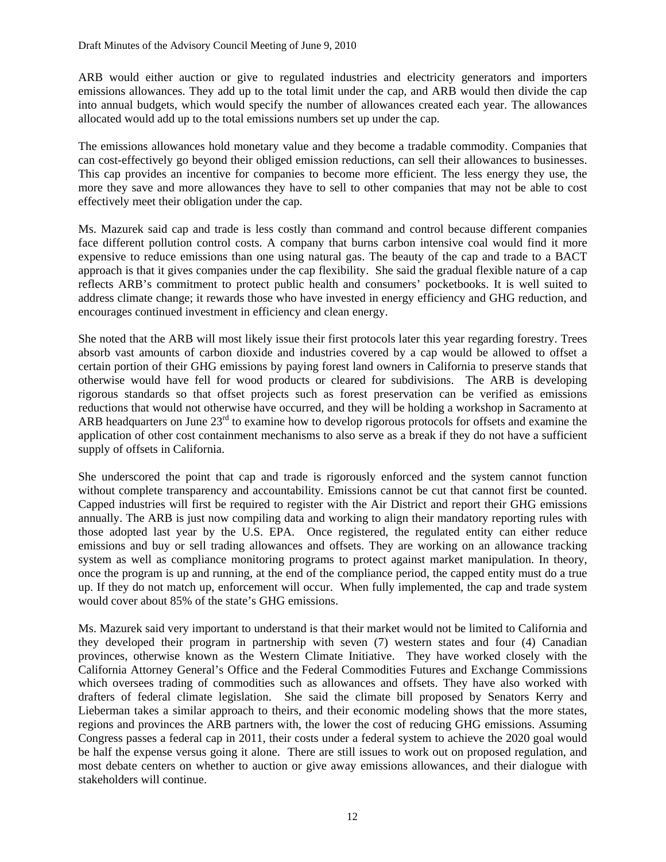ARB would either auction or give to regulated industries and electricity generators and importers emissions allowances. They add up to the total limit under the cap, and ARB would then divide the cap into annual budgets, which would specify the number of allowances created each year. The allowances allocated would add up to the total emissions numbers set up under the cap.

The emissions allowances hold monetary value and they become a tradable commodity. Companies that can cost-effectively go beyond their obliged emission reductions, can sell their allowances to businesses. This cap provides an incentive for companies to become more efficient. The less energy they use, the more they save and more allowances they have to sell to other companies that may not be able to cost effectively meet their obligation under the cap.

Ms. Mazurek said cap and trade is less costly than command and control because different companies face different pollution control costs. A company that burns carbon intensive coal would find it more expensive to reduce emissions than one using natural gas. The beauty of the cap and trade to a BACT approach is that it gives companies under the cap flexibility. She said the gradual flexible nature of a cap reflects ARB's commitment to protect public health and consumers' pocketbooks. It is well suited to address climate change; it rewards those who have invested in energy efficiency and GHG reduction, and encourages continued investment in efficiency and clean energy.

She noted that the ARB will most likely issue their first protocols later this year regarding forestry. Trees absorb vast amounts of carbon dioxide and industries covered by a cap would be allowed to offset a certain portion of their GHG emissions by paying forest land owners in California to preserve stands that otherwise would have fell for wood products or cleared for subdivisions. The ARB is developing rigorous standards so that offset projects such as forest preservation can be verified as emissions reductions that would not otherwise have occurred, and they will be holding a workshop in Sacramento at ARB headquarters on June  $23<sup>rd</sup>$  to examine how to develop rigorous protocols for offsets and examine the application of other cost containment mechanisms to also serve as a break if they do not have a sufficient supply of offsets in California.

She underscored the point that cap and trade is rigorously enforced and the system cannot function without complete transparency and accountability. Emissions cannot be cut that cannot first be counted. Capped industries will first be required to register with the Air District and report their GHG emissions annually. The ARB is just now compiling data and working to align their mandatory reporting rules with those adopted last year by the U.S. EPA. Once registered, the regulated entity can either reduce emissions and buy or sell trading allowances and offsets. They are working on an allowance tracking system as well as compliance monitoring programs to protect against market manipulation. In theory, once the program is up and running, at the end of the compliance period, the capped entity must do a true up. If they do not match up, enforcement will occur. When fully implemented, the cap and trade system would cover about 85% of the state's GHG emissions.

Ms. Mazurek said very important to understand is that their market would not be limited to California and they developed their program in partnership with seven (7) western states and four (4) Canadian provinces, otherwise known as the Western Climate Initiative. They have worked closely with the California Attorney General's Office and the Federal Commodities Futures and Exchange Commissions which oversees trading of commodities such as allowances and offsets. They have also worked with drafters of federal climate legislation. She said the climate bill proposed by Senators Kerry and Lieberman takes a similar approach to theirs, and their economic modeling shows that the more states, regions and provinces the ARB partners with, the lower the cost of reducing GHG emissions. Assuming Congress passes a federal cap in 2011, their costs under a federal system to achieve the 2020 goal would be half the expense versus going it alone. There are still issues to work out on proposed regulation, and most debate centers on whether to auction or give away emissions allowances, and their dialogue with stakeholders will continue.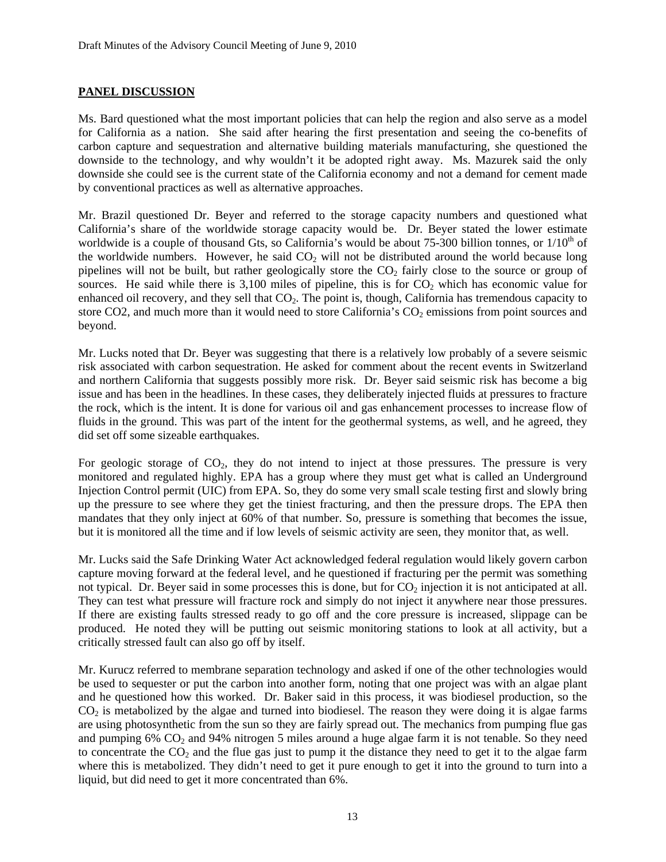#### **PANEL DISCUSSION**

Ms. Bard questioned what the most important policies that can help the region and also serve as a model for California as a nation. She said after hearing the first presentation and seeing the co-benefits of carbon capture and sequestration and alternative building materials manufacturing, she questioned the downside to the technology, and why wouldn't it be adopted right away. Ms. Mazurek said the only downside she could see is the current state of the California economy and not a demand for cement made by conventional practices as well as alternative approaches.

Mr. Brazil questioned Dr. Beyer and referred to the storage capacity numbers and questioned what California's share of the worldwide storage capacity would be. Dr. Beyer stated the lower estimate worldwide is a couple of thousand Gts, so California's would be about 75-300 billion tonnes, or  $1/10<sup>th</sup>$  of the worldwide numbers. However, he said  $CO<sub>2</sub>$  will not be distributed around the world because long pipelines will not be built, but rather geologically store the  $CO<sub>2</sub>$  fairly close to the source or group of sources. He said while there is  $3,100$  miles of pipeline, this is for  $CO<sub>2</sub>$  which has economic value for enhanced oil recovery, and they sell that  $CO<sub>2</sub>$ . The point is, though, California has tremendous capacity to store CO2, and much more than it would need to store California's  $CO<sub>2</sub>$  emissions from point sources and beyond.

Mr. Lucks noted that Dr. Beyer was suggesting that there is a relatively low probably of a severe seismic risk associated with carbon sequestration. He asked for comment about the recent events in Switzerland and northern California that suggests possibly more risk. Dr. Beyer said seismic risk has become a big issue and has been in the headlines. In these cases, they deliberately injected fluids at pressures to fracture the rock, which is the intent. It is done for various oil and gas enhancement processes to increase flow of fluids in the ground. This was part of the intent for the geothermal systems, as well, and he agreed, they did set off some sizeable earthquakes.

For geologic storage of  $CO<sub>2</sub>$ , they do not intend to inject at those pressures. The pressure is very monitored and regulated highly. EPA has a group where they must get what is called an Underground Injection Control permit (UIC) from EPA. So, they do some very small scale testing first and slowly bring up the pressure to see where they get the tiniest fracturing, and then the pressure drops. The EPA then mandates that they only inject at 60% of that number. So, pressure is something that becomes the issue, but it is monitored all the time and if low levels of seismic activity are seen, they monitor that, as well.

Mr. Lucks said the Safe Drinking Water Act acknowledged federal regulation would likely govern carbon capture moving forward at the federal level, and he questioned if fracturing per the permit was something not typical. Dr. Beyer said in some processes this is done, but for  $CO<sub>2</sub>$  injection it is not anticipated at all. They can test what pressure will fracture rock and simply do not inject it anywhere near those pressures. If there are existing faults stressed ready to go off and the core pressure is increased, slippage can be produced. He noted they will be putting out seismic monitoring stations to look at all activity, but a critically stressed fault can also go off by itself.

Mr. Kurucz referred to membrane separation technology and asked if one of the other technologies would be used to sequester or put the carbon into another form, noting that one project was with an algae plant and he questioned how this worked. Dr. Baker said in this process, it was biodiesel production, so the  $CO<sub>2</sub>$  is metabolized by the algae and turned into biodiesel. The reason they were doing it is algae farms are using photosynthetic from the sun so they are fairly spread out. The mechanics from pumping flue gas and pumping  $6\%$  CO<sub>2</sub> and  $94\%$  nitrogen 5 miles around a huge algae farm it is not tenable. So they need to concentrate the  $CO<sub>2</sub>$  and the flue gas just to pump it the distance they need to get it to the algae farm where this is metabolized. They didn't need to get it pure enough to get it into the ground to turn into a liquid, but did need to get it more concentrated than 6%.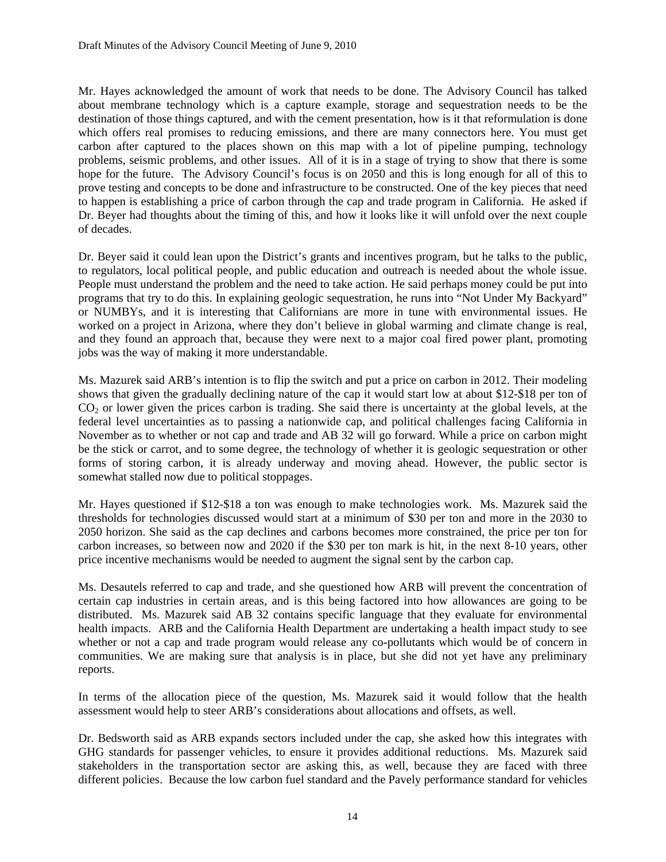Mr. Hayes acknowledged the amount of work that needs to be done. The Advisory Council has talked about membrane technology which is a capture example, storage and sequestration needs to be the destination of those things captured, and with the cement presentation, how is it that reformulation is done which offers real promises to reducing emissions, and there are many connectors here. You must get carbon after captured to the places shown on this map with a lot of pipeline pumping, technology problems, seismic problems, and other issues. All of it is in a stage of trying to show that there is some hope for the future. The Advisory Council's focus is on 2050 and this is long enough for all of this to prove testing and concepts to be done and infrastructure to be constructed. One of the key pieces that need to happen is establishing a price of carbon through the cap and trade program in California. He asked if Dr. Beyer had thoughts about the timing of this, and how it looks like it will unfold over the next couple of decades.

Dr. Beyer said it could lean upon the District's grants and incentives program, but he talks to the public, to regulators, local political people, and public education and outreach is needed about the whole issue. People must understand the problem and the need to take action. He said perhaps money could be put into programs that try to do this. In explaining geologic sequestration, he runs into "Not Under My Backyard" or NUMBYs, and it is interesting that Californians are more in tune with environmental issues. He worked on a project in Arizona, where they don't believe in global warming and climate change is real, and they found an approach that, because they were next to a major coal fired power plant, promoting jobs was the way of making it more understandable.

Ms. Mazurek said ARB's intention is to flip the switch and put a price on carbon in 2012. Their modeling shows that given the gradually declining nature of the cap it would start low at about \$12-\$18 per ton of CO<sub>2</sub> or lower given the prices carbon is trading. She said there is uncertainty at the global levels, at the federal level uncertainties as to passing a nationwide cap, and political challenges facing California in November as to whether or not cap and trade and AB 32 will go forward. While a price on carbon might be the stick or carrot, and to some degree, the technology of whether it is geologic sequestration or other forms of storing carbon, it is already underway and moving ahead. However, the public sector is somewhat stalled now due to political stoppages.

Mr. Hayes questioned if \$12-\$18 a ton was enough to make technologies work. Ms. Mazurek said the thresholds for technologies discussed would start at a minimum of \$30 per ton and more in the 2030 to 2050 horizon. She said as the cap declines and carbons becomes more constrained, the price per ton for carbon increases, so between now and 2020 if the \$30 per ton mark is hit, in the next 8-10 years, other price incentive mechanisms would be needed to augment the signal sent by the carbon cap.

Ms. Desautels referred to cap and trade, and she questioned how ARB will prevent the concentration of certain cap industries in certain areas, and is this being factored into how allowances are going to be distributed. Ms. Mazurek said AB 32 contains specific language that they evaluate for environmental health impacts. ARB and the California Health Department are undertaking a health impact study to see whether or not a cap and trade program would release any co-pollutants which would be of concern in communities. We are making sure that analysis is in place, but she did not yet have any preliminary reports.

In terms of the allocation piece of the question, Ms. Mazurek said it would follow that the health assessment would help to steer ARB's considerations about allocations and offsets, as well.

Dr. Bedsworth said as ARB expands sectors included under the cap, she asked how this integrates with GHG standards for passenger vehicles, to ensure it provides additional reductions. Ms. Mazurek said stakeholders in the transportation sector are asking this, as well, because they are faced with three different policies. Because the low carbon fuel standard and the Pavely performance standard for vehicles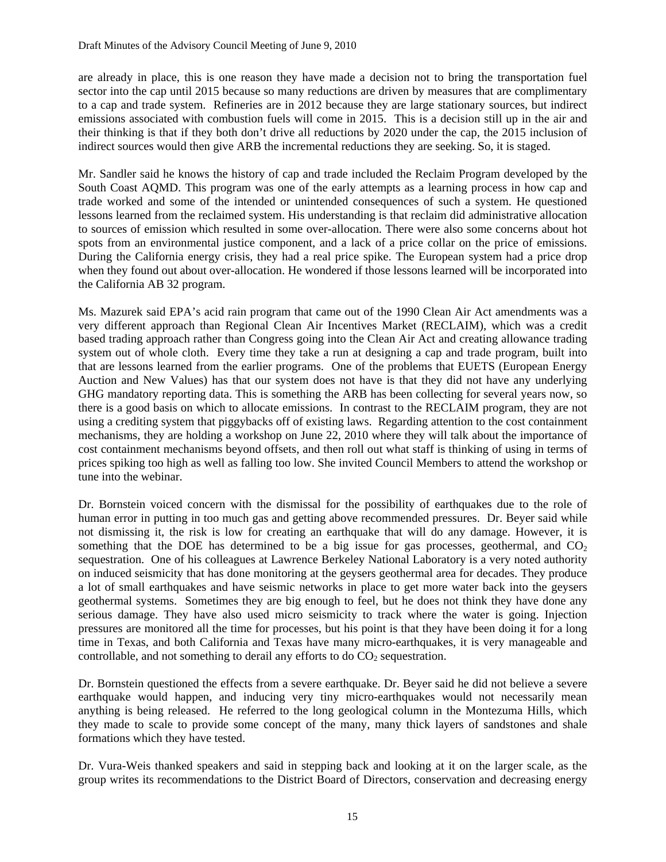are already in place, this is one reason they have made a decision not to bring the transportation fuel sector into the cap until 2015 because so many reductions are driven by measures that are complimentary to a cap and trade system. Refineries are in 2012 because they are large stationary sources, but indirect emissions associated with combustion fuels will come in 2015. This is a decision still up in the air and their thinking is that if they both don't drive all reductions by 2020 under the cap, the  $2015$  inclusion of indirect sources would then give ARB the incremental reductions they are seeking. So, it is staged.

Mr. Sandler said he knows the history of cap and trade included the Reclaim Program developed by the South Coast AQMD. This program was one of the early attempts as a learning process in how cap and trade worked and some of the intended or unintended consequences of such a system. He questioned lessons learned from the reclaimed system. His understanding is that reclaim did administrative allocation to sources of emission which resulted in some over-allocation. There were also some concerns about hot spots from an environmental justice component, and a lack of a price collar on the price of emissions. During the California energy crisis, they had a real price spike. The European system had a price drop when they found out about over-allocation. He wondered if those lessons learned will be incorporated into the California AB 32 program.

Ms. Mazurek said EPA's acid rain program that came out of the 1990 Clean Air Act amendments was a very different approach than Regional Clean Air Incentives Market (RECLAIM), which was a credit based trading approach rather than Congress going into the Clean Air Act and creating allowance trading system out of whole cloth. Every time they take a run at designing a cap and trade program, built into that are lessons learned from the earlier programs. One of the problems that EUETS (European Energy Auction and New Values) has that our system does not have is that they did not have any underlying GHG mandatory reporting data. This is something the ARB has been collecting for several years now, so there is a good basis on which to allocate emissions. In contrast to the RECLAIM program, they are not using a crediting system that piggybacks off of existing laws. Regarding attention to the cost containment mechanisms, they are holding a workshop on June 22, 2010 where they will talk about the importance of cost containment mechanisms beyond offsets, and then roll out what staff is thinking of using in terms of prices spiking too high as well as falling too low. She invited Council Members to attend the workshop or tune into the webinar.

Dr. Bornstein voiced concern with the dismissal for the possibility of earthquakes due to the role of human error in putting in too much gas and getting above recommended pressures. Dr. Beyer said while not dismissing it, the risk is low for creating an earthquake that will do any damage. However, it is something that the DOE has determined to be a big issue for gas processes, geothermal, and  $CO<sub>2</sub>$ sequestration. One of his colleagues at Lawrence Berkeley National Laboratory is a very noted authority on induced seismicity that has done monitoring at the geysers geothermal area for decades. They produce a lot of small earthquakes and have seismic networks in place to get more water back into the geysers geothermal systems. Sometimes they are big enough to feel, but he does not think they have done any serious damage. They have also used micro seismicity to track where the water is going. Injection pressures are monitored all the time for processes, but his point is that they have been doing it for a long time in Texas, and both California and Texas have many micro-earthquakes, it is very manageable and controllable, and not something to derail any efforts to do  $CO<sub>2</sub>$  sequestration.

Dr. Bornstein questioned the effects from a severe earthquake. Dr. Beyer said he did not believe a severe earthquake would happen, and inducing very tiny micro-earthquakes would not necessarily mean anything is being released. He referred to the long geological column in the Montezuma Hills, which they made to scale to provide some concept of the many, many thick layers of sandstones and shale formations which they have tested.

Dr. Vura-Weis thanked speakers and said in stepping back and looking at it on the larger scale, as the group writes its recommendations to the District Board of Directors, conservation and decreasing energy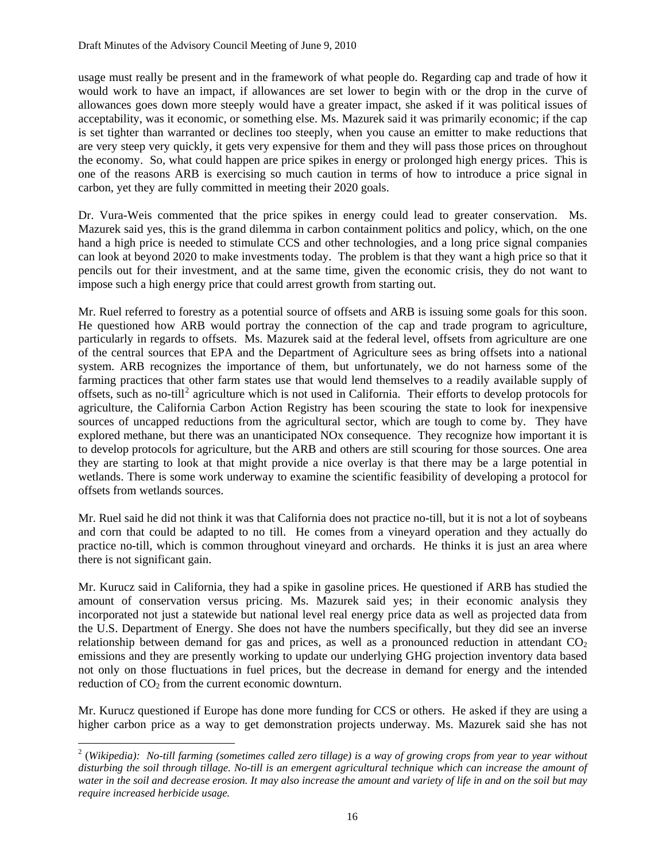usage must really be present and in the framework of what people do. Regarding cap and trade of how it would work to have an impact, if allowances are set lower to begin with or the drop in the curve of allowances goes down more steeply would have a greater impact, she asked if it was political issues of acceptability, was it economic, or something else. Ms. Mazurek said it was primarily economic; if the cap is set tighter than warranted or declines too steeply, when you cause an emitter to make reductions that are very steep very quickly, it gets very expensive for them and they will pass those prices on throughout the economy. So, what could happen are price spikes in energy or prolonged high energy prices. This is one of the reasons ARB is exercising so much caution in terms of how to introduce a price signal in carbon, yet they are fully committed in meeting their 2020 goals.

Dr. Vura-Weis commented that the price spikes in energy could lead to greater conservation. Ms. Mazurek said yes, this is the grand dilemma in carbon containment politics and policy, which, on the one hand a high price is needed to stimulate CCS and other technologies, and a long price signal companies can look at beyond 2020 to make investments today. The problem is that they want a high price so that it pencils out for their investment, and at the same time, given the economic crisis, they do not want to impose such a high energy price that could arrest growth from starting out.

Mr. Ruel referred to forestry as a potential source of offsets and ARB is issuing some goals for this soon. He questioned how ARB would portray the connection of the cap and trade program to agriculture, particularly in regards to offsets. Ms. Mazurek said at the federal level, offsets from agriculture are one of the central sources that EPA and the Department of Agriculture sees as bring offsets into a national system. ARB recognizes the importance of them, but unfortunately, we do not harness some of the farming practices that other farm states use that would lend themselves to a readily available supply of offsets, such as no-till<sup>[2](#page-20-0)</sup> agriculture which is not used in California. Their efforts to develop protocols for agriculture, the California Carbon Action Registry has been scouring the state to look for inexpensive sources of uncapped reductions from the agricultural sector, which are tough to come by. They have explored methane, but there was an unanticipated NOx consequence. They recognize how important it is to develop protocols for agriculture, but the ARB and others are still scouring for those sources. One area they are starting to look at that might provide a nice overlay is that there may be a large potential in wetlands. There is some work underway to examine the scientific feasibility of developing a protocol for offsets from wetlands sources.

Mr. Ruel said he did not think it was that California does not practice no-till, but it is not a lot of soybeans and corn that could be adapted to no till. He comes from a vineyard operation and they actually do practice no-till, which is common throughout vineyard and orchards. He thinks it is just an area where there is not significant gain.

Mr. Kurucz said in California, they had a spike in gasoline prices. He questioned if ARB has studied the amount of conservation versus pricing. Ms. Mazurek said yes; in their economic analysis they incorporated not just a statewide but national level real energy price data as well as projected data from the U.S. Department of Energy. She does not have the numbers specifically, but they did see an inverse relationship between demand for gas and prices, as well as a pronounced reduction in attendant  $CO<sub>2</sub>$ emissions and they are presently working to update our underlying GHG projection inventory data based not only on those fluctuations in fuel prices, but the decrease in demand for energy and the intended reduction of  $CO<sub>2</sub>$  from the current economic downturn.

Mr. Kurucz questioned if Europe has done more funding for CCS or others. He asked if they are using a higher carbon price as a way to get demonstration projects underway. Ms. Mazurek said she has not

 $\overline{a}$ 

<span id="page-20-0"></span><sup>&</sup>lt;sup>2</sup> (Wikipedia): No-till farming (sometimes called zero tillage) is a way of growing [crops](http://en.wikipedia.org/wiki/Crops) from year to year without *disturbing the [soil](http://en.wikipedia.org/wiki/Soil) through [tillage.](http://en.wikipedia.org/wiki/Tillage) No-till is an emergent agricultural technique which can increase the amount of water in the [soil](http://en.wikipedia.org/wiki/Soil) and decrease [erosion](http://en.wikipedia.org/wiki/Erosion). It may also increase the amount and variety of life in and on the soil but may require increased [herbicide](http://en.wikipedia.org/wiki/Herbicide) usage.*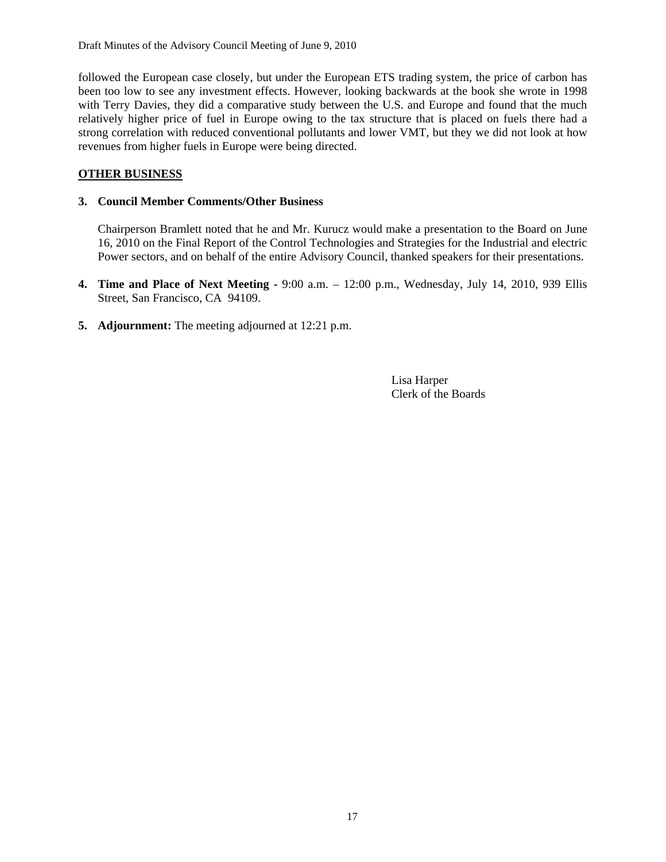followed the European case closely, but under the European ETS trading system, the price of carbon has been too low to see any investment effects. However, looking backwards at the book she wrote in 1998 with Terry Davies, they did a comparative study between the U.S. and Europe and found that the much relatively higher price of fuel in Europe owing to the tax structure that is placed on fuels there had a strong correlation with reduced conventional pollutants and lower VMT, but they we did not look at how revenues from higher fuels in Europe were being directed.

#### **OTHER BUSINESS**

#### **3. Council Member Comments/Other Business**

 Chairperson Bramlett noted that he and Mr. Kurucz would make a presentation to the Board on June 16, 2010 on the Final Report of the Control Technologies and Strategies for the Industrial and electric Power sectors, and on behalf of the entire Advisory Council, thanked speakers for their presentations.

- **4. Time and Place of Next Meeting** 9:00 a.m. 12:00 p.m., Wednesday, July 14, 2010, 939 Ellis Street, San Francisco, CA 94109.
- **5. Adjournment:** The meeting adjourned at 12:21 p.m.

 Lisa Harper Clerk of the Boards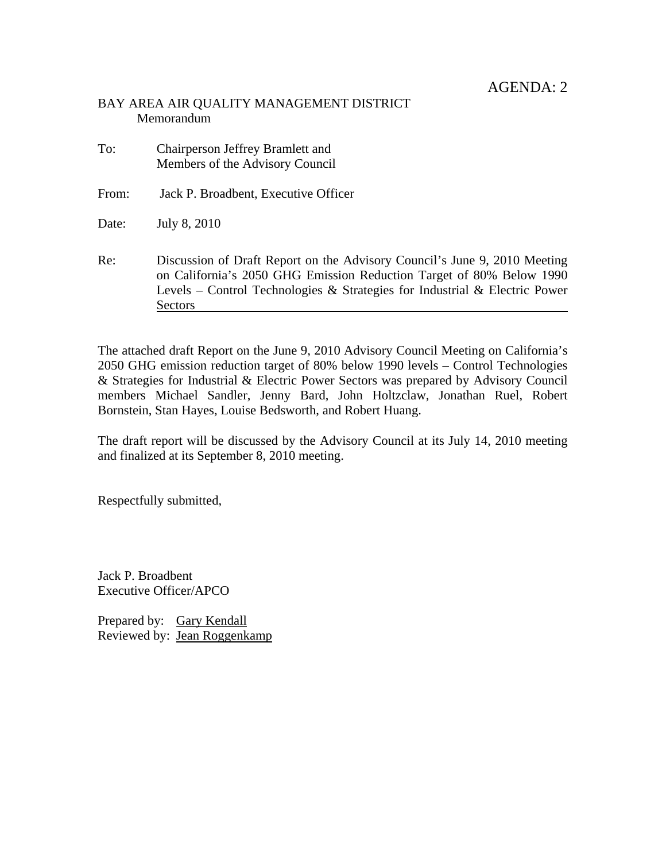#### BAY AREA AIR QUALITY MANAGEMENT DISTRICT Memorandum

To: Chairperson Jeffrey Bramlett and Members of the Advisory Council

From: Jack P. Broadbent, Executive Officer

Date: July 8, 2010

Re: Discussion of Draft Report on the Advisory Council's June 9, 2010 Meeting on California's 2050 GHG Emission Reduction Target of 80% Below 1990 Levels – Control Technologies & Strategies for Industrial & Electric Power Sectors

The attached draft Report on the June 9, 2010 Advisory Council Meeting on California's 2050 GHG emission reduction target of 80% below 1990 levels – Control Technologies & Strategies for Industrial & Electric Power Sectors was prepared by Advisory Council members Michael Sandler, Jenny Bard, John Holtzclaw, Jonathan Ruel, Robert Bornstein, Stan Hayes, Louise Bedsworth, and Robert Huang.

The draft report will be discussed by the Advisory Council at its July 14, 2010 meeting and finalized at its September 8, 2010 meeting.

Respectfully submitted,

Jack P. Broadbent Executive Officer/APCO

Prepared by: Gary Kendall Reviewed by: Jean Roggenkamp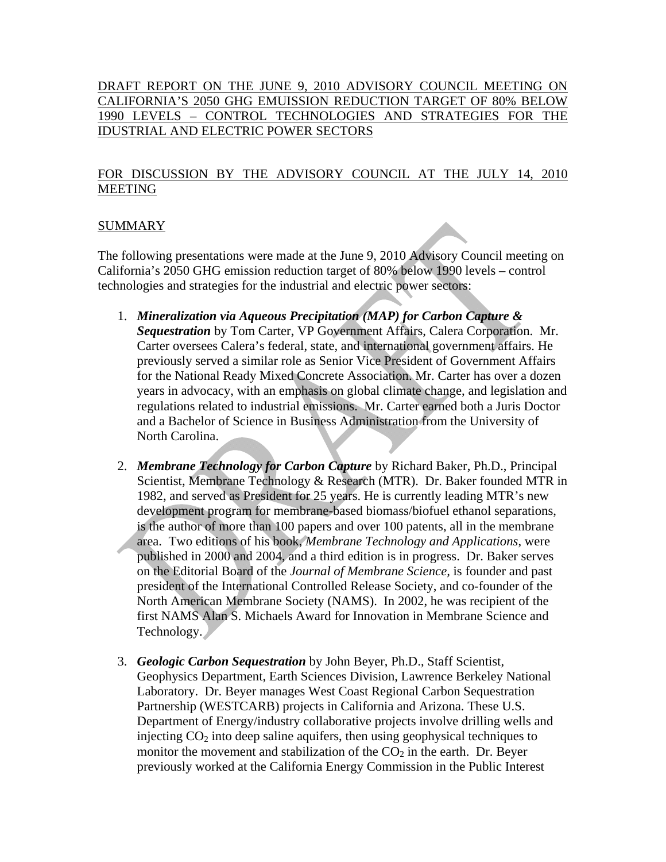#### DRAFT REPORT ON THE JUNE 9, 2010 ADVISORY COUNCIL MEETING ON CALIFORNIA'S 2050 GHG EMUISSION REDUCTION TARGET OF 80% BELOW 1990 LEVELS – CONTROL TECHNOLOGIES AND STRATEGIES FOR THE IDUSTRIAL AND ELECTRIC POWER SECTORS

#### FOR DISCUSSION BY THE ADVISORY COUNCIL AT THE JULY 14, 2010 MEETING

#### SUMMARY

The following presentations were made at the June 9, 2010 Advisory Council meeting on California's 2050 GHG emission reduction target of 80% below 1990 levels – control technologies and strategies for the industrial and electric power sectors:

- 1. *Mineralization via Aqueous Precipitation (MAP) for Carbon Capture & Sequestration* by Tom Carter, VP Government Affairs, Calera Corporation. Mr. Carter oversees Calera's federal, state, and international government affairs. He previously served a similar role as Senior Vice President of Government Affairs for the National Ready Mixed Concrete Association. Mr. Carter has over a dozen years in advocacy, with an emphasis on global climate change, and legislation and regulations related to industrial emissions. Mr. Carter earned both a Juris Doctor and a Bachelor of Science in Business Administration from the University of North Carolina.
- 2. *Membrane Technology for Carbon Capture* by Richard Baker, Ph.D., Principal Scientist, Membrane Technology & Research (MTR). Dr. Baker founded MTR in 1982, and served as President for 25 years. He is currently leading MTR's new development program for membrane-based biomass/biofuel ethanol separations, is the author of more than 100 papers and over 100 patents, all in the membrane area. Two editions of his book, *Membrane Technology and Applications*, were published in 2000 and 2004, and a third edition is in progress. Dr. Baker serves on the Editorial Board of the *Journal of Membrane Science,* is founder and past president of the International Controlled Release Society, and co-founder of the North American Membrane Society (NAMS). In 2002, he was recipient of the first NAMS Alan S. Michaels Award for Innovation in Membrane Science and Technology.
- 3. *Geologic Carbon Sequestration* by John Beyer, Ph.D., Staff Scientist, Geophysics Department, Earth Sciences Division, Lawrence Berkeley National Laboratory. Dr. Beyer manages West Coast Regional Carbon Sequestration Partnership (WESTCARB) projects in California and Arizona. These U.S. Department of Energy/industry collaborative projects involve drilling wells and injecting  $CO<sub>2</sub>$  into deep saline aquifers, then using geophysical techniques to monitor the movement and stabilization of the  $CO<sub>2</sub>$  in the earth. Dr. Beyer previously worked at the California Energy Commission in the Public Interest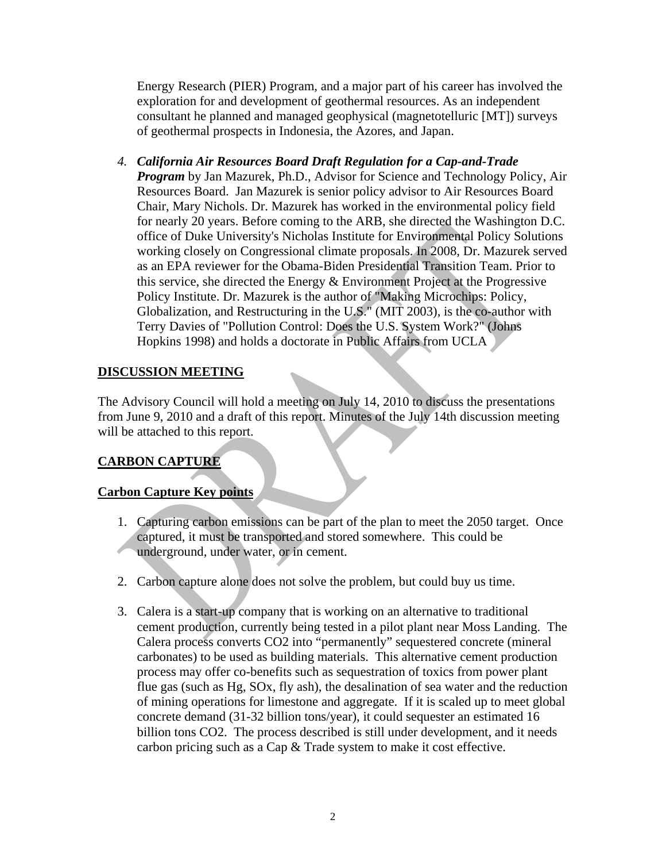Energy Research (PIER) Program, and a major part of his career has involved the exploration for and development of geothermal resources. As an independent consultant he planned and managed geophysical (magnetotelluric [MT]) surveys of geothermal prospects in Indonesia, the Azores, and Japan.

*4. California Air Resources Board Draft Regulation for a Cap-and-Trade Program* by Jan Mazurek, Ph.D., Advisor for Science and Technology Policy, Air Resources Board. Jan Mazurek is senior policy advisor to Air Resources Board Chair, Mary Nichols. Dr. Mazurek has worked in the environmental policy field for nearly 20 years. Before coming to the ARB, she directed the Washington D.C. office of Duke University's Nicholas Institute for Environmental Policy Solutions working closely on Congressional climate proposals. In 2008, Dr. Mazurek served as an EPA reviewer for the Obama-Biden Presidential Transition Team. Prior to this service, she directed the Energy & Environment Project at the Progressive Policy Institute. Dr. Mazurek is the author of "Making Microchips: Policy, Globalization, and Restructuring in the U.S." (MIT 2003), is the co-author with Terry Davies of "Pollution Control: Does the U.S. System Work?" (Johns Hopkins 1998) and holds a doctorate in Public Affairs from UCLA

### **DISCUSSION MEETING**

The Advisory Council will hold a meeting on July 14, 2010 to discuss the presentations from June 9, 2010 and a draft of this report. Minutes of the July 14th discussion meeting will be attached to this report.

## **CARBON CAPTURE**

#### **Carbon Capture Key points**

- 1. Capturing carbon emissions can be part of the plan to meet the 2050 target. Once captured, it must be transported and stored somewhere. This could be underground, under water, or in cement.
- 2. Carbon capture alone does not solve the problem, but could buy us time.
- 3. Calera is a start-up company that is working on an alternative to traditional cement production, currently being tested in a pilot plant near Moss Landing. The Calera process converts CO2 into "permanently" sequestered concrete (mineral carbonates) to be used as building materials. This alternative cement production process may offer co-benefits such as sequestration of toxics from power plant flue gas (such as Hg, SOx, fly ash), the desalination of sea water and the reduction of mining operations for limestone and aggregate. If it is scaled up to meet global concrete demand (31-32 billion tons/year), it could sequester an estimated 16 billion tons CO2. The process described is still under development, and it needs carbon pricing such as a Cap & Trade system to make it cost effective.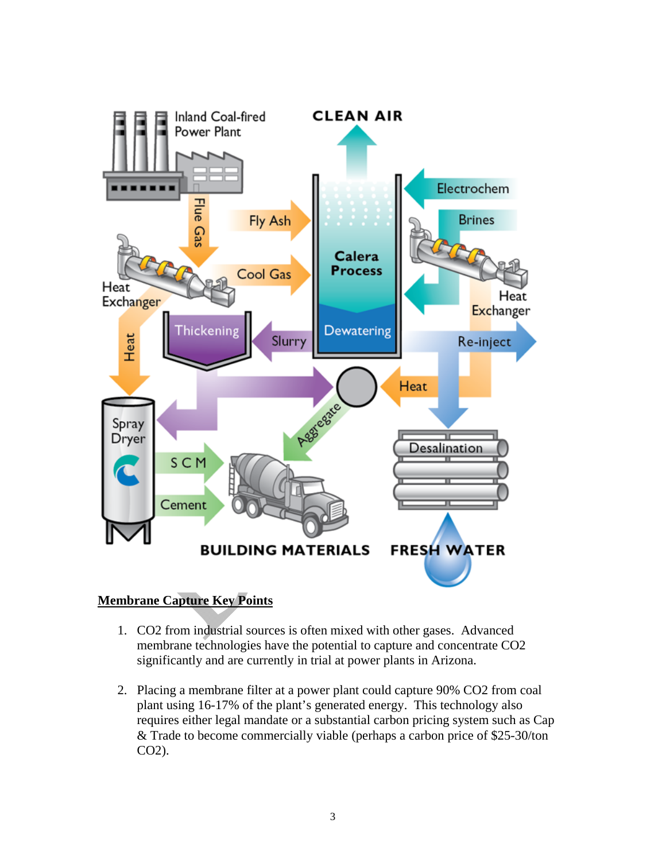

## **Membrane Capture Key Points**

- 1. CO2 from industrial sources is often mixed with other gases. Advanced membrane technologies have the potential to capture and concentrate CO2 significantly and are currently in trial at power plants in Arizona.
- 2. Placing a membrane filter at a power plant could capture 90% CO2 from coal plant using 16-17% of the plant's generated energy. This technology also requires either legal mandate or a substantial carbon pricing system such as Cap & Trade to become commercially viable (perhaps a carbon price of \$25-30/ton CO2).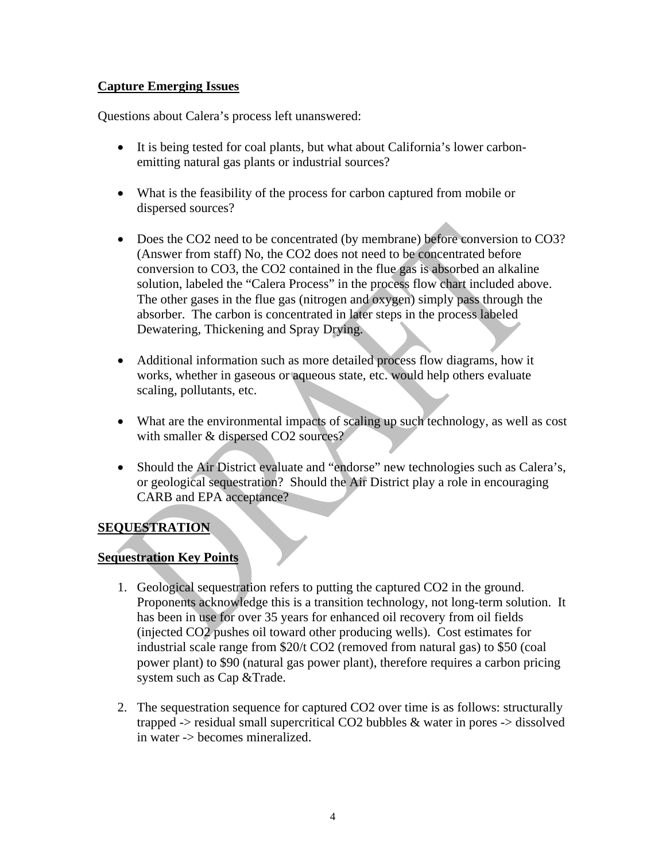#### **Capture Emerging Issues**

Questions about Calera's process left unanswered:

- It is being tested for coal plants, but what about California's lower carbonemitting natural gas plants or industrial sources?
- What is the feasibility of the process for carbon captured from mobile or dispersed sources?
- Does the CO2 need to be concentrated (by membrane) before conversion to CO3? (Answer from staff) No, the CO2 does not need to be concentrated before conversion to CO3, the CO2 contained in the flue gas is absorbed an alkaline solution, labeled the "Calera Process" in the process flow chart included above. The other gases in the flue gas (nitrogen and oxygen) simply pass through the absorber. The carbon is concentrated in later steps in the process labeled Dewatering, Thickening and Spray Drying.
- Additional information such as more detailed process flow diagrams, how it works, whether in gaseous or aqueous state, etc. would help others evaluate scaling, pollutants, etc.
- What are the environmental impacts of scaling up such technology, as well as cost with smaller & dispersed CO2 sources?
- Should the Air District evaluate and "endorse" new technologies such as Calera's, or geological sequestration? Should the Air District play a role in encouraging CARB and EPA acceptance?

## **SEQUESTRATION**

#### **Sequestration Key Points**

- 1. Geological sequestration refers to putting the captured CO2 in the ground. Proponents acknowledge this is a transition technology, not long-term solution. It has been in use for over 35 years for enhanced oil recovery from oil fields (injected CO2 pushes oil toward other producing wells). Cost estimates for industrial scale range from \$20/t CO2 (removed from natural gas) to \$50 (coal power plant) to \$90 (natural gas power plant), therefore requires a carbon pricing system such as Cap &Trade.
- 2. The sequestration sequence for captured CO2 over time is as follows: structurally trapped -> residual small supercritical CO2 bubbles & water in pores -> dissolved in water -> becomes mineralized.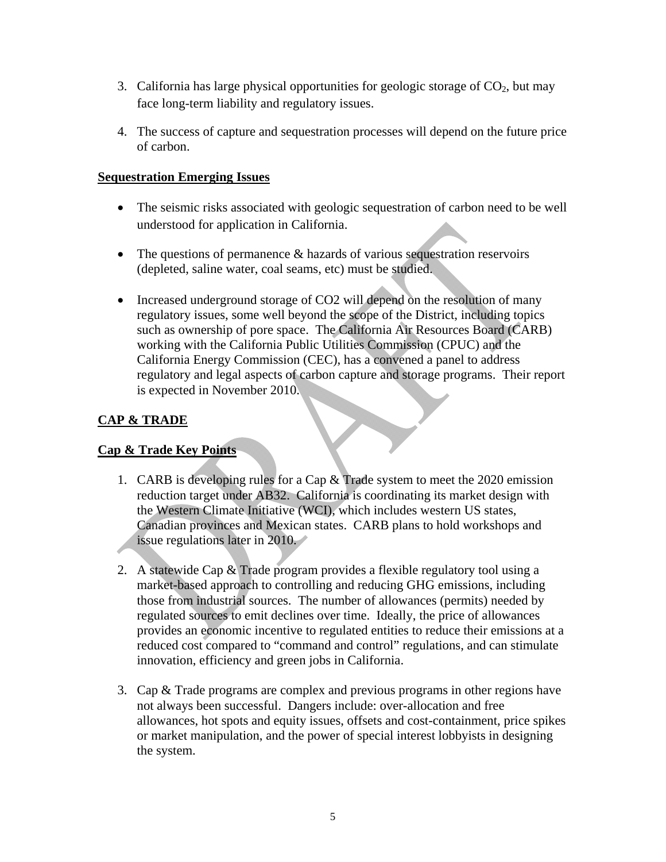- 3. California has large physical opportunities for geologic storage of  $CO<sub>2</sub>$ , but may face long-term liability and regulatory issues.
- 4. The success of capture and sequestration processes will depend on the future price of carbon.

#### **Sequestration Emerging Issues**

- The seismic risks associated with geologic sequestration of carbon need to be well understood for application in California.
- The questions of permanence & hazards of various sequestration reservoirs (depleted, saline water, coal seams, etc) must be studied.
- Increased underground storage of CO2 will depend on the resolution of many regulatory issues, some well beyond the scope of the District, including topics such as ownership of pore space. The California Air Resources Board (CARB) working with the California Public Utilities Commission (CPUC) and the California Energy Commission (CEC), has a convened a panel to address regulatory and legal aspects of carbon capture and storage programs. Their report is expected in November 2010.

## **CAP & TRADE**

## **Cap & Trade Key Points**

- 1. CARB is developing rules for a Cap & Trade system to meet the 2020 emission reduction target under AB32. California is coordinating its market design with the Western Climate Initiative (WCI), which includes western US states, Canadian provinces and Mexican states. CARB plans to hold workshops and issue regulations later in 2010.
- 2. A statewide Cap & Trade program provides a flexible regulatory tool using a market-based approach to controlling and reducing GHG emissions, including those from industrial sources. The number of allowances (permits) needed by regulated sources to emit declines over time. Ideally, the price of allowances provides an economic incentive to regulated entities to reduce their emissions at a reduced cost compared to "command and control" regulations, and can stimulate innovation, efficiency and green jobs in California.
- 3. Cap & Trade programs are complex and previous programs in other regions have not always been successful. Dangers include: over-allocation and free allowances, hot spots and equity issues, offsets and cost-containment, price spikes or market manipulation, and the power of special interest lobbyists in designing the system.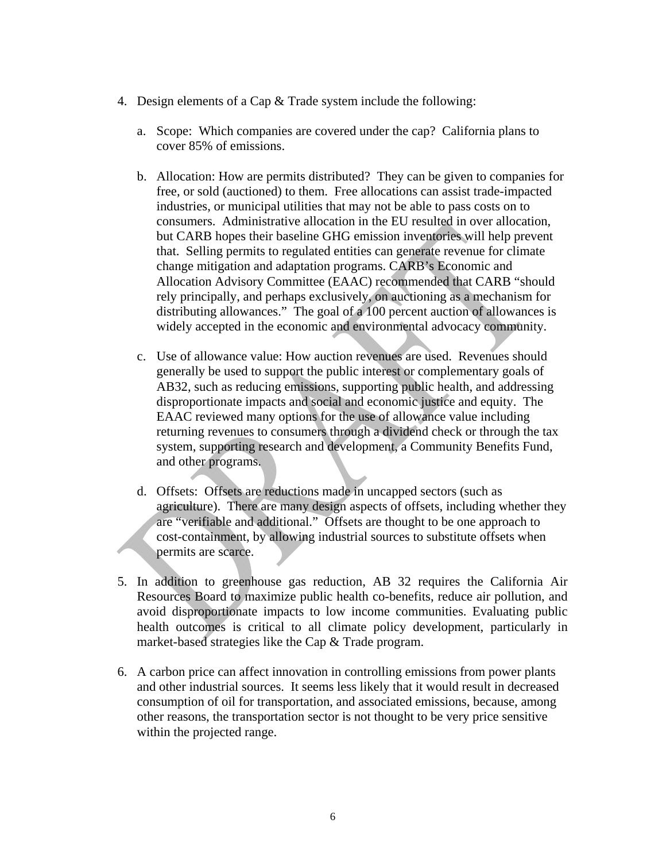- 4. Design elements of a Cap & Trade system include the following:
	- a. Scope: Which companies are covered under the cap? California plans to cover 85% of emissions.
	- b. Allocation: How are permits distributed? They can be given to companies for free, or sold (auctioned) to them. Free allocations can assist trade-impacted industries, or municipal utilities that may not be able to pass costs on to consumers. Administrative allocation in the EU resulted in over allocation, but CARB hopes their baseline GHG emission inventories will help prevent that. Selling permits to regulated entities can generate revenue for climate change mitigation and adaptation programs. CARB's Economic and Allocation Advisory Committee (EAAC) recommended that CARB "should rely principally, and perhaps exclusively, on auctioning as a mechanism for distributing allowances." The goal of a 100 percent auction of allowances is widely accepted in the economic and environmental advocacy community.
	- c. Use of allowance value: How auction revenues are used. Revenues should generally be used to support the public interest or complementary goals of AB32, such as reducing emissions, supporting public health, and addressing disproportionate impacts and social and economic justice and equity. The EAAC reviewed many options for the use of allowance value including returning revenues to consumers through a dividend check or through the tax system, supporting research and development, a Community Benefits Fund, and other programs.
	- d. Offsets: Offsets are reductions made in uncapped sectors (such as agriculture). There are many design aspects of offsets, including whether they are "verifiable and additional." Offsets are thought to be one approach to cost-containment, by allowing industrial sources to substitute offsets when permits are scarce.
- 5. In addition to greenhouse gas reduction, AB 32 requires the California Air Resources Board to maximize public health co-benefits, reduce air pollution, and avoid disproportionate impacts to low income communities. Evaluating public health outcomes is critical to all climate policy development, particularly in market-based strategies like the Cap & Trade program.
- 6. A carbon price can affect innovation in controlling emissions from power plants and other industrial sources. It seems less likely that it would result in decreased consumption of oil for transportation, and associated emissions, because, among other reasons, the transportation sector is not thought to be very price sensitive within the projected range.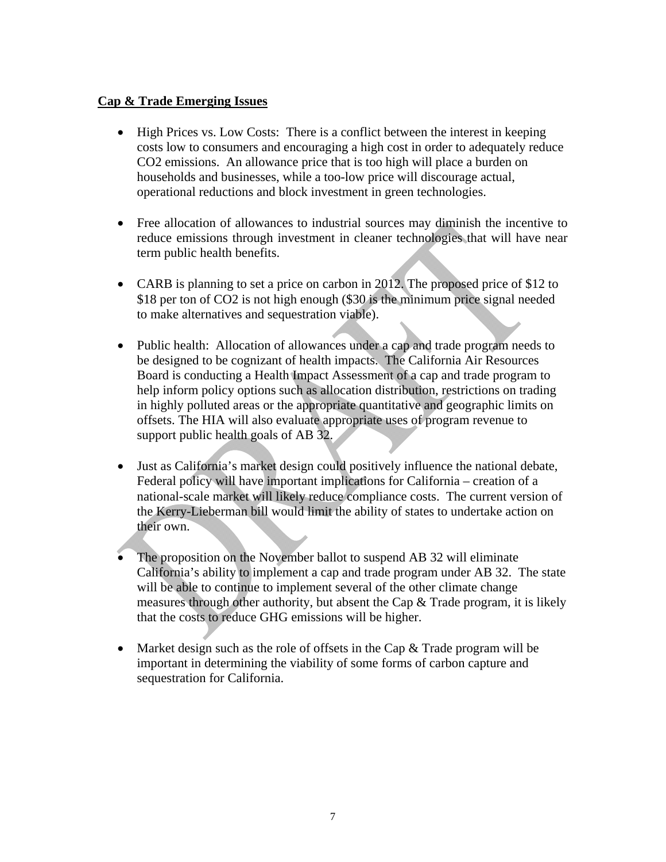#### **Cap & Trade Emerging Issues**

- High Prices vs. Low Costs: There is a conflict between the interest in keeping costs low to consumers and encouraging a high cost in order to adequately reduce CO2 emissions. An allowance price that is too high will place a burden on households and businesses, while a too-low price will discourage actual, operational reductions and block investment in green technologies.
- Free allocation of allowances to industrial sources may diminish the incentive to reduce emissions through investment in cleaner technologies that will have near term public health benefits.
- CARB is planning to set a price on carbon in 2012. The proposed price of \$12 to \$18 per ton of CO2 is not high enough (\$30 is the minimum price signal needed to make alternatives and sequestration viable).
- Public health: Allocation of allowances under a cap and trade program needs to be designed to be cognizant of health impacts. The California Air Resources Board is conducting a Health Impact Assessment of a cap and trade program to help inform policy options such as allocation distribution, restrictions on trading in highly polluted areas or the appropriate quantitative and geographic limits on offsets. The HIA will also evaluate appropriate uses of program revenue to support public health goals of AB 32.
- Just as California's market design could positively influence the national debate, Federal policy will have important implications for California – creation of a national-scale market will likely reduce compliance costs. The current version of the Kerry-Lieberman bill would limit the ability of states to undertake action on their own.
- The proposition on the November ballot to suspend AB 32 will eliminate California's ability to implement a cap and trade program under AB 32. The state will be able to continue to implement several of the other climate change measures through other authority, but absent the Cap & Trade program, it is likely that the costs to reduce GHG emissions will be higher.
- Market design such as the role of offsets in the Cap  $\&$  Trade program will be important in determining the viability of some forms of carbon capture and sequestration for California.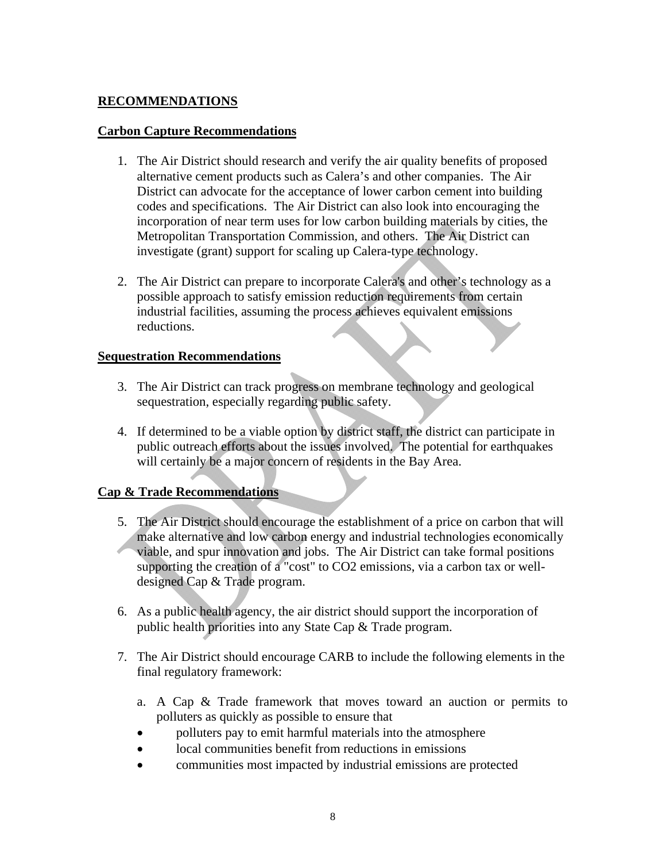#### **RECOMMENDATIONS**

#### **Carbon Capture Recommendations**

- 1. The Air District should research and verify the air quality benefits of proposed alternative cement products such as Calera's and other companies. The Air District can advocate for the acceptance of lower carbon cement into building codes and specifications. The Air District can also look into encouraging the incorporation of near term uses for low carbon building materials by cities, the Metropolitan Transportation Commission, and others. The Air District can investigate (grant) support for scaling up Calera-type technology.
- 2. The Air District can prepare to incorporate Calera's and other's technology as a possible approach to satisfy emission reduction requirements from certain industrial facilities, assuming the process achieves equivalent emissions reductions.

#### **Sequestration Recommendations**

- 3. The Air District can track progress on membrane technology and geological sequestration, especially regarding public safety.
- 4. If determined to be a viable option by district staff, the district can participate in public outreach efforts about the issues involved. The potential for earthquakes will certainly be a major concern of residents in the Bay Area.

#### **Cap & Trade Recommendations**

- 5. The Air District should encourage the establishment of a price on carbon that will make alternative and low carbon energy and industrial technologies economically viable, and spur innovation and jobs. The Air District can take formal positions supporting the creation of a "cost" to CO2 emissions, via a carbon tax or welldesigned Cap & Trade program.
- 6. As a public health agency, the air district should support the incorporation of public health priorities into any State Cap & Trade program.
- 7. The Air District should encourage CARB to include the following elements in the final regulatory framework:
	- a. A Cap & Trade framework that moves toward an auction or permits to polluters as quickly as possible to ensure that
	- polluters pay to emit harmful materials into the atmosphere
	- local communities benefit from reductions in emissions
	- communities most impacted by industrial emissions are protected